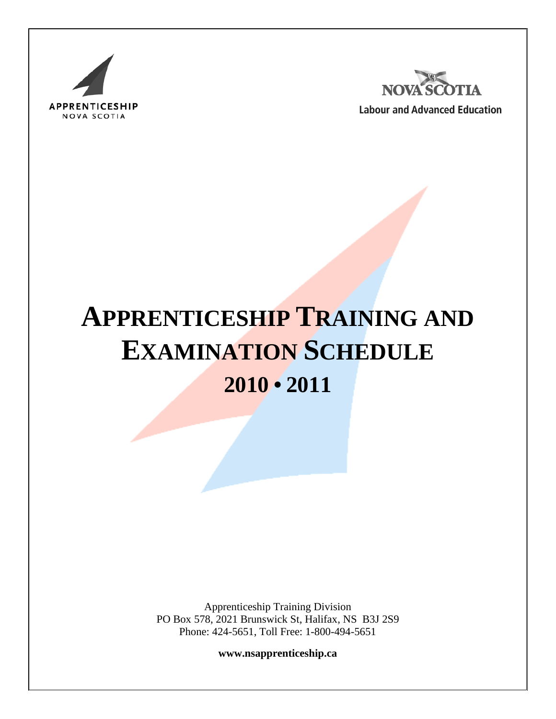



**Labour and Advanced Education** 

# **APPRENTICESHIP TRAINING AND EXAMINATION SCHEDULE 2010 • 2011**

Apprenticeship Training Division PO Box 578, 2021 Brunswick St, Halifax, NS B3J 2S9 Phone: 424-5651, Toll Free: 1-800-494-5651

**www.nsapprenticeship.ca**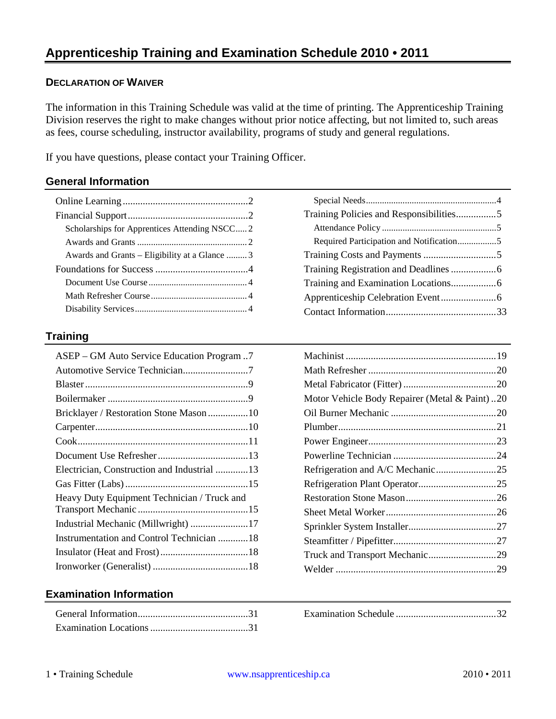## **DECLARATION OF WAIVER**

The information in this Training Schedule was valid at the time of printing. The Apprenticeship Training Division reserves the right to make changes without prior notice affecting, but not limited to, such areas as fees, course scheduling, instructor availability, programs of study and general regulations.

If you have questions, please contact your Training Officer.

## **General Information**

| Scholarships for Apprentices Attending NSCC2   |  |
|------------------------------------------------|--|
|                                                |  |
| Awards and Grants – Eligibility at a Glance  3 |  |
|                                                |  |
|                                                |  |
|                                                |  |
|                                                |  |

### **Training**

| ASEP – GM Auto Service Education Program7   |
|---------------------------------------------|
| Automotive Service Technician7              |
|                                             |
|                                             |
| Bricklayer / Restoration Stone Mason 10     |
|                                             |
|                                             |
|                                             |
| Electrician, Construction and Industrial 13 |
|                                             |
|                                             |
|                                             |
|                                             |
| Instrumentation and Control Technician  18  |
|                                             |
|                                             |
|                                             |

## [Special Needs.........................................................4](#page-4-4) [Training Policies and Responsibilities................5](#page-5-0) Attendance Policy [..................................................5](#page-5-1) [Required Participation and Notification.................5](#page-5-2) [Training Costs and Payments](#page-5-3) .............................5 [Training Registration and](#page-6-0) Deadlines..................6 [Training and Examination Locations..................6](#page-6-1) [Apprenticeship Celebration Event......................6](#page-6-2) [Contact Information............................................33](#page-33-0)

| Motor Vehicle Body Repairer (Metal & Paint)20 |  |
|-----------------------------------------------|--|
|                                               |  |
|                                               |  |
|                                               |  |
|                                               |  |
| Refrigeration and A/C Mechanic25              |  |
|                                               |  |
|                                               |  |
|                                               |  |
|                                               |  |
|                                               |  |
|                                               |  |
|                                               |  |

## **Examination Information**

Examination Schedule [........................................32](#page-32-0)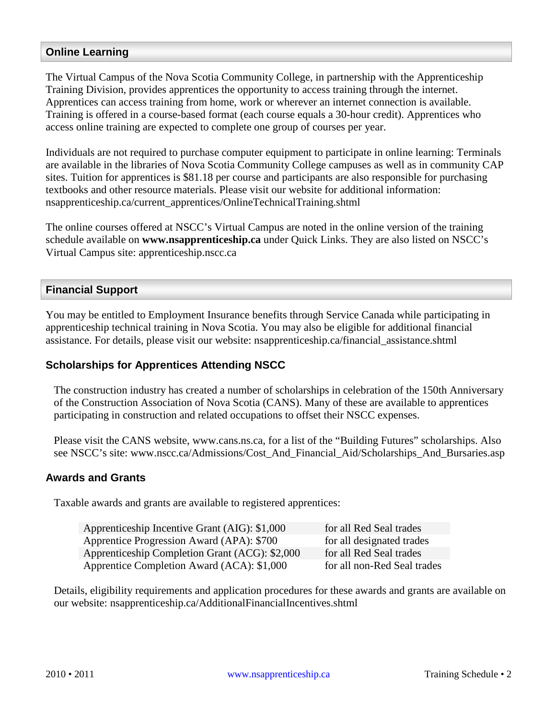## <span id="page-2-0"></span>**Online Learning**

The Virtual Campus of the Nova Scotia Community College, in partnership with the Apprenticeship Training Division, provides apprentices the opportunity to access training through the internet. Apprentices can access training from home, work or wherever an internet connection is available. Training is offered in a course-based format (each course equals a 30-hour credit). Apprentices who access online training are expected to complete one group of courses per year.

Individuals are not required to purchase computer equipment to participate in online learning: Terminals are available in the libraries of Nova Scotia Community College campuses as well as in community CAP sites. Tuition for apprentices is \$81.18 per course and participants are also responsible for purchasing textbooks and other resource materials. Please visit our website for additional information: nsapprenticeship.ca/current\_apprentices/OnlineTechnicalTraining.shtml

The online courses offered at NSCC's Virtual Campus are noted in the online version of the training schedule available on **www.nsapprenticeship.ca** under Quick Links. They are also listed on NSCC's Virtual Campus site: apprenticeship.nscc.ca

### <span id="page-2-1"></span>**Financial Support**

You may be entitled to Employment Insurance benefits through Service Canada while participating in apprenticeship technical training in Nova Scotia. You may also be eligible for additional financial assistance. For details, please visit our website: nsapprenticeship.ca/financial\_assistance.shtml

## <span id="page-2-2"></span>**Scholarships for Apprentices Attending NSCC**

The construction industry has created a number of scholarships in celebration of the 150th Anniversary of the Construction Association of Nova Scotia (CANS). Many of these are available to apprentices participating in construction and related occupations to offset their NSCC expenses.

Please visit the CANS website, www.cans.ns.ca, for a list of the "Building Futures" scholarships. Also see NSCC's site: www.nscc.ca/Admissions/Cost\_And\_Financial\_Aid/Scholarships\_And\_Bursaries.asp

#### <span id="page-2-3"></span>**Awards and Grants**

Taxable awards and grants are available to registered apprentices:

| Apprenticeship Incentive Grant (AIG): \$1,000  | for all Red Seal trades     |
|------------------------------------------------|-----------------------------|
| Apprentice Progression Award (APA): \$700      | for all designated trades   |
| Apprenticeship Completion Grant (ACG): \$2,000 | for all Red Seal trades     |
| Apprentice Completion Award (ACA): \$1,000     | for all non-Red Seal trades |

Details, eligibility requirements and application procedures for these awards and grants are available on our website: nsapprenticeship.ca/AdditionalFinancialIncentives.shtml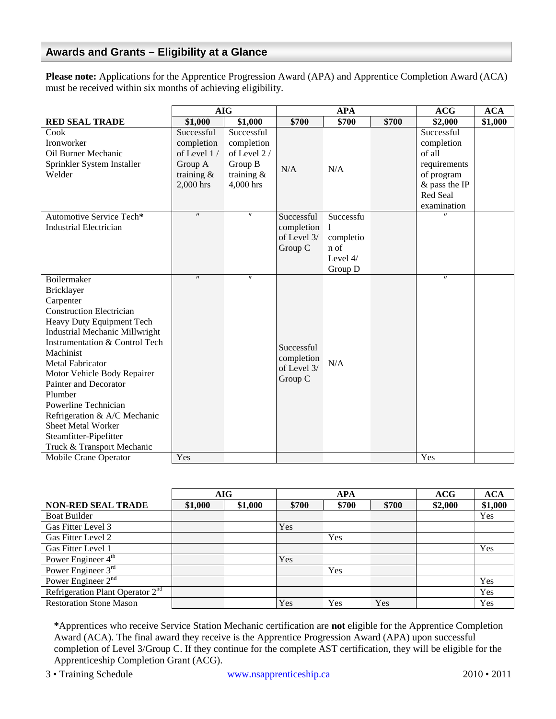## <span id="page-3-0"></span>**Awards and Grants – Eligibility at a Glance**

**Please note:** Applications for the Apprentice Progression Award (APA) and Apprentice Completion Award (ACA) must be received within six months of achieving eligibility.

|                                       | <b>AIG</b>               |                          | <b>APA</b>  |           | <b>ACG</b> | <b>ACA</b>               |         |
|---------------------------------------|--------------------------|--------------------------|-------------|-----------|------------|--------------------------|---------|
| <b>RED SEAL TRADE</b>                 | \$1,000                  | \$1,000                  | \$700       | \$700     | \$700      | \$2,000                  | \$1,000 |
| Cook<br>Ironworker                    | Successful<br>completion | Successful<br>completion |             |           |            | Successful<br>completion |         |
| Oil Burner Mechanic                   | of Level 1/              | of Level $2/$            |             |           |            | of all                   |         |
|                                       |                          |                          |             |           |            |                          |         |
| Sprinkler System Installer            | Group A                  | Group B                  | N/A         | N/A       |            | requirements             |         |
| Welder                                | training $\&$            | training $\&$            |             |           |            | of program               |         |
|                                       | 2,000 hrs                | 4,000 hrs                |             |           |            | & pass the IP            |         |
|                                       |                          |                          |             |           |            | Red Seal                 |         |
|                                       | $^{\prime\prime}$        | $^{\prime\prime}$        |             |           |            | examination              |         |
| Automotive Service Tech*              |                          |                          | Successful  | Successfu |            |                          |         |
| <b>Industrial Electrician</b>         |                          |                          | completion  | 1         |            |                          |         |
|                                       |                          |                          | of Level 3/ | completio |            |                          |         |
|                                       |                          |                          | Group C     | n of      |            |                          |         |
|                                       |                          |                          |             | Level 4/  |            |                          |         |
|                                       | $\pmb{\prime\prime}$     | $\pmb{\prime}$           |             | Group D   |            | $^{\prime\prime}$        |         |
| Boilermaker                           |                          |                          |             |           |            |                          |         |
| Bricklayer                            |                          |                          |             |           |            |                          |         |
| Carpenter                             |                          |                          |             |           |            |                          |         |
| <b>Construction Electrician</b>       |                          |                          |             |           |            |                          |         |
| Heavy Duty Equipment Tech             |                          |                          |             |           |            |                          |         |
| <b>Industrial Mechanic Millwright</b> |                          |                          |             |           |            |                          |         |
| Instrumentation & Control Tech        |                          |                          | Successful  |           |            |                          |         |
| Machinist                             |                          |                          | completion  |           |            |                          |         |
| <b>Metal Fabricator</b>               |                          |                          | of Level 3/ | N/A       |            |                          |         |
| Motor Vehicle Body Repairer           |                          |                          | Group C     |           |            |                          |         |
| Painter and Decorator                 |                          |                          |             |           |            |                          |         |
| Plumber                               |                          |                          |             |           |            |                          |         |
| Powerline Technician                  |                          |                          |             |           |            |                          |         |
| Refrigeration & A/C Mechanic          |                          |                          |             |           |            |                          |         |
| <b>Sheet Metal Worker</b>             |                          |                          |             |           |            |                          |         |
| Steamfitter-Pipefitter                |                          |                          |             |           |            |                          |         |
| Truck & Transport Mechanic            |                          |                          |             |           |            |                          |         |
| Mobile Crane Operator                 | Yes                      |                          |             |           |            | Yes                      |         |

|                                       | AIG     |         |       | <b>APA</b> |       | ACG     | <b>ACA</b> |
|---------------------------------------|---------|---------|-------|------------|-------|---------|------------|
| <b>NON-RED SEAL TRADE</b>             | \$1,000 | \$1,000 | \$700 | \$700      | \$700 | \$2,000 | \$1,000    |
| <b>Boat Builder</b>                   |         |         |       |            |       |         | Yes        |
| Gas Fitter Level 3                    |         |         | Yes   |            |       |         |            |
| Gas Fitter Level 2                    |         |         |       | <b>Yes</b> |       |         |            |
| Gas Fitter Level 1                    |         |         |       |            |       |         | Yes        |
| Power Engineer 4 <sup>th</sup>        |         |         | Yes   |            |       |         |            |
| Power Engineer 3rd                    |         |         |       | Yes        |       |         |            |
| Power Engineer $2nd$                  |         |         |       |            |       |         | Yes        |
| Refrigeration Plant Operator $2^{nd}$ |         |         |       |            |       |         | Yes        |
| <b>Restoration Stone Mason</b>        |         |         | Yes   | Yes        | Yes   |         | Yes        |

**\***Apprentices who receive Service Station Mechanic certification are **not** eligible for the Apprentice Completion Award (ACA). The final award they receive is the Apprentice Progression Award (APA) upon successful completion of Level 3/Group C. If they continue for the complete AST certification, they will be eligible for the Apprenticeship Completion Grant (ACG).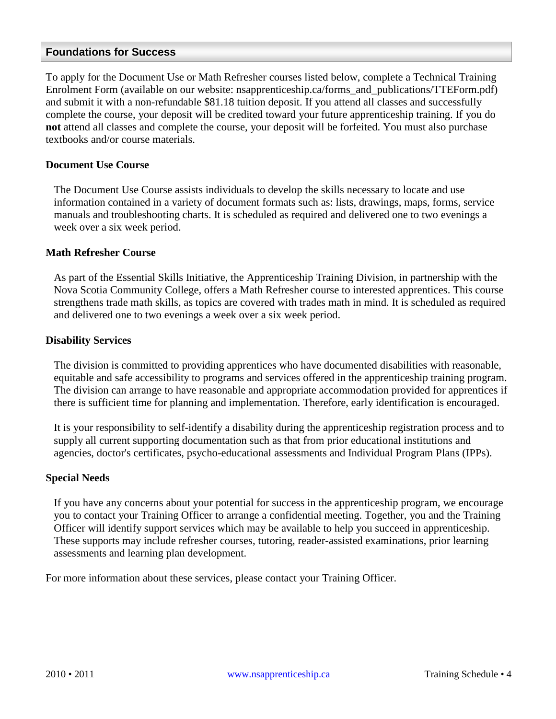#### <span id="page-4-0"></span>**Foundations for Success**

To apply for the Document Use or Math Refresher courses listed below, complete a Technical Training Enrolment Form (available on our website: nsapprenticeship.ca/forms\_and\_publications/TTEForm.pdf) and submit it with a non-refundable \$81.18 tuition deposit. If you attend all classes and successfully complete the course, your deposit will be credited toward your future apprenticeship training. If you do **not** attend all classes and complete the course, your deposit will be forfeited. You must also purchase textbooks and/or course materials.

#### <span id="page-4-1"></span>**Document Use Course**

The Document Use Course assists individuals to develop the skills necessary to locate and use information contained in a variety of document formats such as: lists, drawings, maps, forms, service manuals and troubleshooting charts. It is scheduled as required and delivered one to two evenings a week over a six week period.

#### <span id="page-4-2"></span>**Math Refresher Course**

As part of the Essential Skills Initiative, the Apprenticeship Training Division, in partnership with the Nova Scotia Community College, offers a Math Refresher course to interested apprentices. This course strengthens trade math skills, as topics are covered with trades math in mind. It is scheduled as required and delivered one to two evenings a week over a six week period.

#### <span id="page-4-3"></span>**Disability Services**

The division is committed to providing apprentices who have documented disabilities with reasonable, equitable and safe accessibility to programs and services offered in the apprenticeship training program. The division can arrange to have reasonable and appropriate accommodation provided for apprentices if there is sufficient time for planning and implementation. Therefore, early identification is encouraged.

It is your responsibility to self-identify a disability during the apprenticeship registration process and to supply all current supporting documentation such as that from prior educational institutions and agencies, doctor's certificates, psycho-educational assessments and Individual Program Plans (IPPs).

#### <span id="page-4-4"></span>**Special Needs**

If you have any concerns about your potential for success in the apprenticeship program, we encourage you to contact your Training Officer to arrange a confidential meeting. Together, you and the Training Officer will identify support services which may be available to help you succeed in apprenticeship. These supports may include refresher courses, tutoring, reader-assisted examinations, prior learning assessments and learning plan development.

For more information about these services, please contact your Training Officer.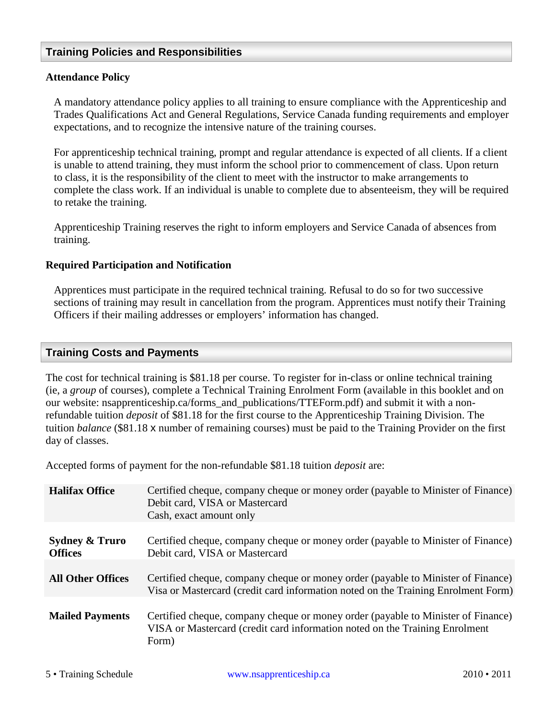## <span id="page-5-0"></span>**Training Policies and Responsibilities**

#### <span id="page-5-1"></span>**Attendance Policy**

A mandatory attendance policy applies to all training to ensure compliance with the Apprenticeship and Trades Qualifications Act and General Regulations, Service Canada funding requirements and employer expectations, and to recognize the intensive nature of the training courses.

For apprenticeship technical training, prompt and regular attendance is expected of all clients. If a client is unable to attend training, they must inform the school prior to commencement of class. Upon return to class, it is the responsibility of the client to meet with the instructor to make arrangements to complete the class work. If an individual is unable to complete due to absenteeism, they will be required to retake the training.

Apprenticeship Training reserves the right to inform employers and Service Canada of absences from training.

#### <span id="page-5-2"></span>**Required Participation and Notification**

Apprentices must participate in the required technical training. Refusal to do so for two successive sections of training may result in cancellation from the program. Apprentices must notify their Training Officers if their mailing addresses or employers' information has changed.

#### <span id="page-5-3"></span>**Training Costs and Payments**

The cost for technical training is \$81.18 per course. To register for in-class or online technical training (ie, a *group* of courses), complete a Technical Training Enrolment Form (available in this booklet and on our website: nsapprenticeship.ca/forms\_and\_publications/TTEForm.pdf) and submit it with a nonrefundable tuition *deposit* of \$81.18 for the first course to the Apprenticeship Training Division. The tuition *balance* (\$81.18 x number of remaining courses) must be paid to the Training Provider on the first day of classes.

Accepted forms of payment for the non-refundable \$81.18 tuition *deposit* are:

| <b>Halifax Office</b>                       | Certified cheque, company cheque or money order (payable to Minister of Finance)<br>Debit card, VISA or Mastercard<br>Cash, exact amount only                            |
|---------------------------------------------|--------------------------------------------------------------------------------------------------------------------------------------------------------------------------|
| <b>Sydney &amp; Truro</b><br><b>Offices</b> | Certified cheque, company cheque or money order (payable to Minister of Finance)<br>Debit card, VISA or Mastercard                                                       |
| <b>All Other Offices</b>                    | Certified cheque, company cheque or money order (payable to Minister of Finance)<br>Visa or Mastercard (credit card information noted on the Training Enrolment Form)    |
| <b>Mailed Payments</b>                      | Certified cheque, company cheque or money order (payable to Minister of Finance)<br>VISA or Mastercard (credit card information noted on the Training Enrolment<br>Form) |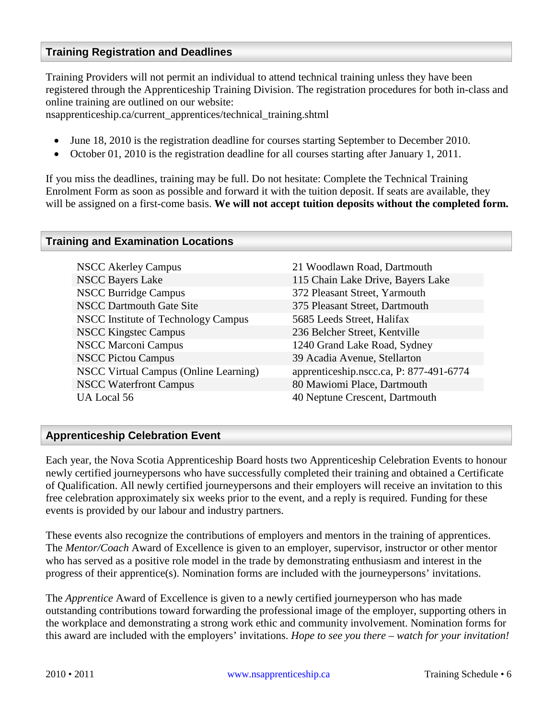## <span id="page-6-0"></span>**Training Registration and Deadlines**

Training Providers will not permit an individual to attend technical training unless they have been registered through the Apprenticeship Training Division. The registration procedures for both in-class and online training are outlined on our website:

nsapprenticeship.ca/current\_apprentices/technical\_training.shtml

- June 18, 2010 is the registration deadline for courses starting September to December 2010.
- October 01, 2010 is the registration deadline for all courses starting after January 1, 2011.

If you miss the deadlines, training may be full. Do not hesitate: Complete the Technical Training Enrolment Form as soon as possible and forward it with the tuition deposit. If seats are available, they will be assigned on a first-come basis. **We will not accept tuition deposits without the completed form.**

#### <span id="page-6-1"></span>**Training and Examination Locations**

| <b>NSCC Akerley Campus</b>                   | 21 Woodlawn Road, Dartmouth             |
|----------------------------------------------|-----------------------------------------|
| <b>NSCC Bayers Lake</b>                      | 115 Chain Lake Drive, Bayers Lake       |
| <b>NSCC Burridge Campus</b>                  | 372 Pleasant Street, Yarmouth           |
| <b>NSCC Dartmouth Gate Site</b>              | 375 Pleasant Street, Dartmouth          |
| <b>NSCC</b> Institute of Technology Campus   | 5685 Leeds Street, Halifax              |
| <b>NSCC Kingstec Campus</b>                  | 236 Belcher Street, Kentville           |
| <b>NSCC Marconi Campus</b>                   | 1240 Grand Lake Road, Sydney            |
| <b>NSCC Pictou Campus</b>                    | 39 Acadia Avenue, Stellarton            |
| <b>NSCC Virtual Campus (Online Learning)</b> | apprenticeship.nscc.ca, P: 877-491-6774 |
| <b>NSCC Waterfront Campus</b>                | 80 Mawiomi Place, Dartmouth             |
| UA Local 56                                  | 40 Neptune Crescent, Dartmouth          |

#### <span id="page-6-2"></span>**Apprenticeship Celebration Event**

Each year, the Nova Scotia Apprenticeship Board hosts two Apprenticeship Celebration Events to honour newly certified journeypersons who have successfully completed their training and obtained a Certificate of Qualification. All newly certified journeypersons and their employers will receive an invitation to this free celebration approximately six weeks prior to the event, and a reply is required. Funding for these events is provided by our labour and industry partners.

These events also recognize the contributions of employers and mentors in the training of apprentices. The *Mentor/Coach* Award of Excellence is given to an employer, supervisor, instructor or other mentor who has served as a positive role model in the trade by demonstrating enthusiasm and interest in the progress of their apprentice(s). Nomination forms are included with the journeypersons' invitations.

The *Apprentice* Award of Excellence is given to a newly certified journeyperson who has made outstanding contributions toward forwarding the professional image of the employer, supporting others in the workplace and demonstrating a strong work ethic and community involvement. Nomination forms for this award are included with the employers' invitations. *Hope to see you there – watch for your invitation!*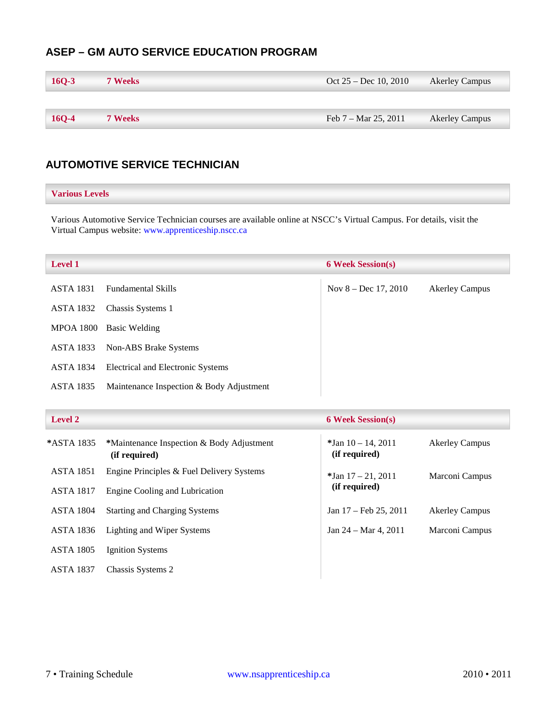## <span id="page-7-0"></span>**ASEP – GM AUTO SERVICE EDUCATION PROGRAM**

| $16Q-3$ | <b>7 Weeks</b> | Oct $25 - Dec 10, 2010$ | <b>Akerley Campus</b> |
|---------|----------------|-------------------------|-----------------------|
|         |                |                         |                       |
| $16Q-4$ | <b>7 Weeks</b> | Feb $7 -$ Mar 25, 2011  | <b>Akerley Campus</b> |

## <span id="page-7-1"></span>**AUTOMOTIVE SERVICE TECHNICIAN**

#### **Various Levels**

Various Automotive Service Technician courses are available online at NSCC's Virtual Campus. For details, visit the Virtual Campus website: [www.apprenticeship.nscc.ca](http://www.apprenticeship.nscc.ca/)

| <b>Level 1</b>   |                                          | <b>6 Week Session(s)</b> |                       |
|------------------|------------------------------------------|--------------------------|-----------------------|
| <b>ASTA 1831</b> | <b>Fundamental Skills</b>                | Nov $8 - Dec 17, 2010$   | <b>Akerley Campus</b> |
| <b>ASTA 1832</b> | Chassis Systems 1                        |                          |                       |
| <b>MPOA 1800</b> | Basic Welding                            |                          |                       |
| ASTA 1833        | Non-ABS Brake Systems                    |                          |                       |
| <b>ASTA 1834</b> | Electrical and Electronic Systems        |                          |                       |
| <b>ASTA 1835</b> | Maintenance Inspection & Body Adjustment |                          |                       |

| Level 2          |                                                            | <b>6 Week Session(s)</b>               |                       |  |
|------------------|------------------------------------------------------------|----------------------------------------|-----------------------|--|
| *ASTA 1835       | *Maintenance Inspection & Body Adjustment<br>(if required) | $*$ Jan 10 – 14, 2011<br>(if required) | <b>Akerley Campus</b> |  |
| <b>ASTA 1851</b> | Engine Principles & Fuel Delivery Systems                  | $*$ Jan 17 – 21, 2011                  | Marconi Campus        |  |
| <b>ASTA 1817</b> | Engine Cooling and Lubrication                             | (if required)                          |                       |  |
| <b>ASTA 1804</b> | <b>Starting and Charging Systems</b>                       | Jan 17 – Feb 25, 2011                  | <b>Akerley Campus</b> |  |
| ASTA 1836        | Lighting and Wiper Systems                                 | Jan $24 - \text{Mar } 4$ , 2011        | Marconi Campus        |  |
| <b>ASTA 1805</b> | <b>Ignition Systems</b>                                    |                                        |                       |  |
| <b>ASTA 1837</b> | Chassis Systems 2                                          |                                        |                       |  |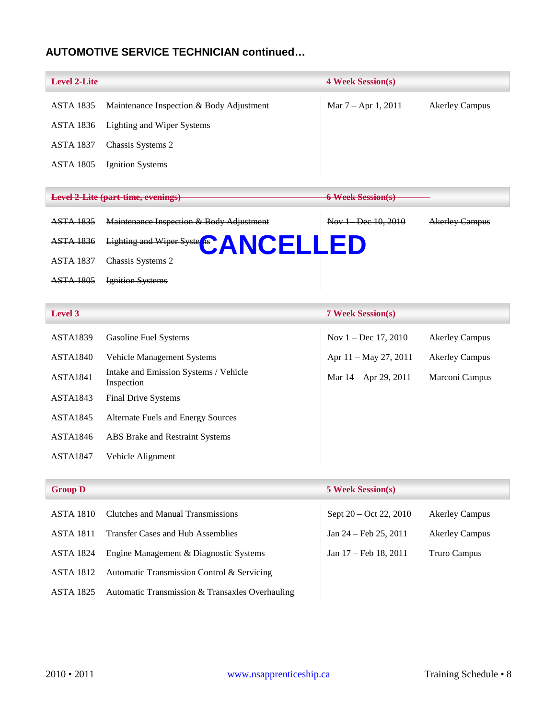## **AUTOMOTIVE SERVICE TECHNICIAN continued…**

| <b>Level 2-Lite</b> |                                                     | <b>4 Week Session(s)</b> |                       |
|---------------------|-----------------------------------------------------|--------------------------|-----------------------|
| <b>ASTA 1835</b>    | Maintenance Inspection & Body Adjustment            | Mar 7 - Apr 1, 2011      | <b>Akerley Campus</b> |
| <b>ASTA 1836</b>    | <b>Lighting and Wiper Systems</b>                   |                          |                       |
| <b>ASTA 1837</b>    | Chassis Systems 2                                   |                          |                       |
| <b>ASTA 1805</b>    | <b>Ignition Systems</b>                             |                          |                       |
|                     |                                                     |                          |                       |
|                     | <b>Level 2-Lite (part-time, evenings)</b>           | <b>6 Week Session(s)</b> |                       |
| <b>ASTA 1835</b>    | Maintenance Inspection & Body Adjustment            | Nov 1 Dec 10, 2010       | <b>Akerley Campus</b> |
| <b>ASTA 1836</b>    | Lighting and Wiper Syste <sup>6</sup> ANCELLED      |                          |                       |
| <b>ASTA 1837</b>    | Chassis Systems 2                                   |                          |                       |
| <b>ASTA 1805</b>    | <b>Ignition Systems</b>                             |                          |                       |
|                     |                                                     |                          |                       |
| Level 3             |                                                     | <b>7 Week Session(s)</b> |                       |
| <b>ASTA1839</b>     | <b>Gasoline Fuel Systems</b>                        | Nov $1 - Dec 17, 2010$   | <b>Akerley Campus</b> |
| <b>ASTA1840</b>     | Vehicle Management Systems                          | Apr 11 - May 27, 2011    | <b>Akerley Campus</b> |
| <b>ASTA1841</b>     | Intake and Emission Systems / Vehicle<br>Inspection | Mar 14 – Apr 29, 2011    | Marconi Campus        |
| <b>ASTA1843</b>     | Final Drive Systems                                 |                          |                       |
| <b>ASTA1845</b>     | Alternate Fuels and Energy Sources                  |                          |                       |
| <b>ASTA1846</b>     | ABS Brake and Restraint Systems                     |                          |                       |
| <b>ASTA1847</b>     | Vehicle Alignment                                   |                          |                       |
|                     |                                                     |                          |                       |
| <b>Group D</b>      |                                                     | <b>5 Week Session(s)</b> |                       |
| <b>ASTA 1810</b>    | <b>Clutches and Manual Transmissions</b>            | Sept 20 - Oct 22, 2010   | <b>Akerley Campus</b> |
| <b>ASTA 1811</b>    | <b>Transfer Cases and Hub Assemblies</b>            | Jan 24 - Feb 25, 2011    | <b>Akerley Campus</b> |
| <b>ASTA 1824</b>    | Engine Management & Diagnostic Systems              | Jan 17 - Feb 18, 2011    | <b>Truro Campus</b>   |
| <b>ASTA 1812</b>    | Automatic Transmission Control & Servicing          |                          |                       |
| <b>ASTA 1825</b>    | Automatic Transmission & Transaxles Overhauling     |                          |                       |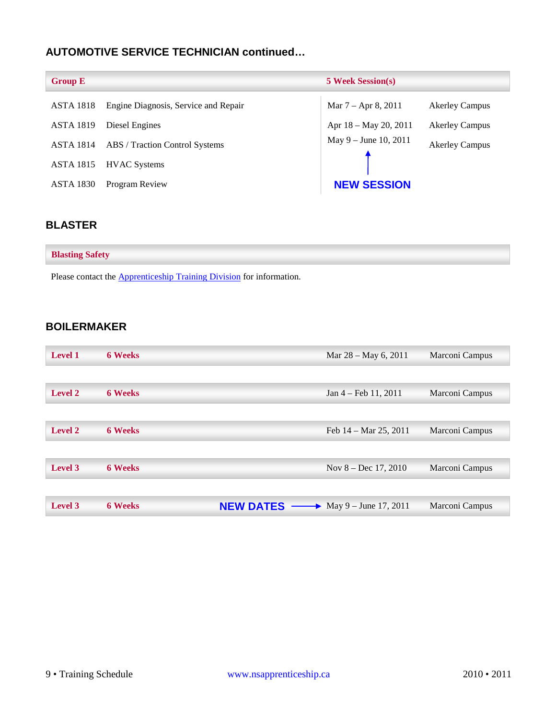## **AUTOMOTIVE SERVICE TECHNICIAN continued…**

| <b>Group E</b>   |                                      | <b>5 Week Session(s)</b> |                       |
|------------------|--------------------------------------|--------------------------|-----------------------|
| <b>ASTA 1818</b> | Engine Diagnosis, Service and Repair | Mar $7 -$ Apr 8, 2011    | <b>Akerley Campus</b> |
| <b>ASTA 1819</b> | Diesel Engines                       | Apr 18 – May 20, 2011    | <b>Akerley Campus</b> |
| <b>ASTA 1814</b> | ABS / Traction Control Systems       | May 9 – June 10, 2011    | <b>Akerley Campus</b> |
| <b>ASTA 1815</b> | <b>HVAC</b> Systems                  |                          |                       |
| <b>ASTA 1830</b> | Program Review                       | <b>NEW SESSION</b>       |                       |

## <span id="page-9-0"></span>**BLASTER**

| <b>Blasting Safety</b> |  |  |
|------------------------|--|--|
|                        |  |  |

Please contact the **Apprenticeship Training Division** for information.

## <span id="page-9-1"></span>**BOILERMAKER**

| <b>Level 1</b> | <b>6 Weeks</b> |                  | Mar 28 - May 6, 2011             | Marconi Campus |
|----------------|----------------|------------------|----------------------------------|----------------|
|                |                |                  |                                  |                |
| <b>Level 2</b> | <b>6 Weeks</b> |                  | $Jan 4 - Feb 11, 2011$           | Marconi Campus |
|                |                |                  |                                  |                |
| <b>Level 2</b> | <b>6 Weeks</b> |                  | Feb $14 - \text{Mar } 25$ , 2011 | Marconi Campus |
|                |                |                  |                                  |                |
| <b>Level 3</b> | <b>6 Weeks</b> |                  | Nov $8 - Dec 17, 2010$           | Marconi Campus |
|                |                |                  |                                  |                |
| <b>Level 3</b> | <b>6 Weeks</b> | <b>NEW DATES</b> | • May 9 – June 17, 2011          | Marconi Campus |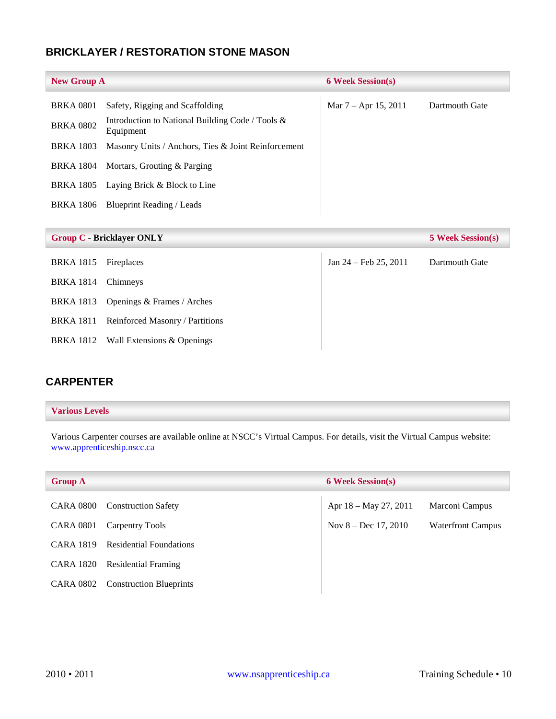## <span id="page-10-0"></span>**BRICKLAYER / RESTORATION STONE MASON**

| <b>New Group A</b> |                                                                  | <b>6 Week Session(s)</b> |                |
|--------------------|------------------------------------------------------------------|--------------------------|----------------|
| <b>BRKA 0801</b>   | Safety, Rigging and Scaffolding                                  | Mar $7 -$ Apr 15, 2011   | Dartmouth Gate |
| <b>BRKA 0802</b>   | Introduction to National Building Code / Tools $\&$<br>Equipment |                          |                |
| <b>BRKA 1803</b>   | Masonry Units / Anchors, Ties & Joint Reinforcement              |                          |                |
| BRKA 1804          | Mortars, Grouting & Parging                                      |                          |                |
| <b>BRKA 1805</b>   | Laying Brick & Block to Line                                     |                          |                |
| <b>BRKA</b> 1806   | Blueprint Reading / Leads                                        |                          |                |
|                    |                                                                  |                          |                |

|                    | <b>Group C - Bricklayer ONLY</b>     |                         | <b>5 Week Session(s)</b> |
|--------------------|--------------------------------------|-------------------------|--------------------------|
| <b>BRKA 1815</b>   | Fireplaces                           | Jan $24$ – Feb 25, 2011 | Dartmouth Gate           |
| BRKA 1814 Chimneys |                                      |                         |                          |
|                    | BRKA 1813 Openings & Frames / Arches |                         |                          |
| BRKA 1811          | Reinforced Masonry / Partitions      |                         |                          |
|                    | BRKA 1812 Wall Extensions & Openings |                         |                          |

## <span id="page-10-1"></span>**CARPENTER**

#### **Various Levels**

Various Carpenter courses are available online at NSCC's Virtual Campus. For details, visit the Virtual Campus website: [www.apprenticeship.nscc.ca](http://www.apprenticeship.nscc.ca/)

| <b>Group A</b>   |                                | <b>6 Week Session(s)</b> |                          |
|------------------|--------------------------------|--------------------------|--------------------------|
| <b>CARA 0800</b> | <b>Construction Safety</b>     | Apr $18 - May 27, 2011$  | Marconi Campus           |
| <b>CARA 0801</b> | Carpentry Tools                | Nov $8 - Dec 17, 2010$   | <b>Waterfront Campus</b> |
| <b>CARA 1819</b> | <b>Residential Foundations</b> |                          |                          |
| <b>CARA 1820</b> | <b>Residential Framing</b>     |                          |                          |
| CARA 0802        | <b>Construction Blueprints</b> |                          |                          |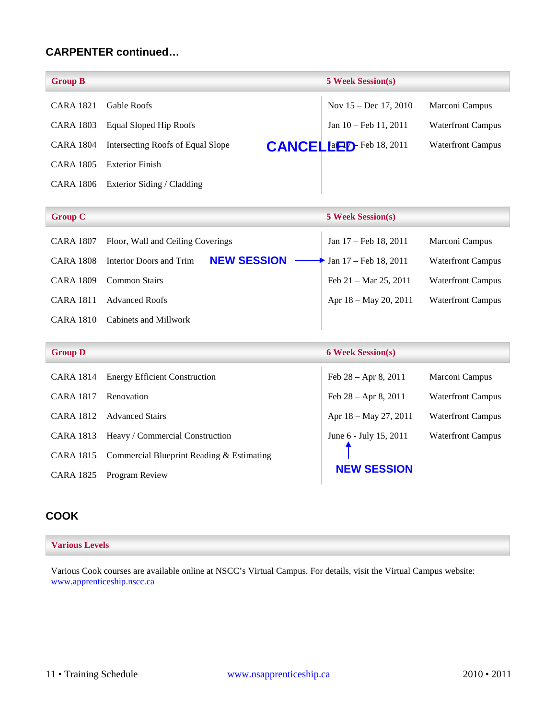## **CARPENTER continued…**

| <b>Group B</b>   |                                   | <b>5 Week Session(s)</b>         |                          |
|------------------|-----------------------------------|----------------------------------|--------------------------|
| <b>CARA 1821</b> | <b>Gable Roofs</b>                | Nov $15 - Dec 17, 2010$          | Marconi Campus           |
| CARA 1803        | Equal Sloped Hip Roofs            | Jan 10 – Feb 11, 2011            | <b>Waterfront Campus</b> |
| CARA 1804        | Intersecting Roofs of Equal Slope | <b>CANCEL Ext</b> P Feb 18, 2011 | <b>Waterfront Campus</b> |
| <b>CARA 1805</b> | Exterior Finish                   |                                  |                          |
| CARA 1806        | Exterior Siding / Cladding        |                                  |                          |

| <b>Group C</b>      |                                               | <b>5 Week Session(s)</b>         |                          |
|---------------------|-----------------------------------------------|----------------------------------|--------------------------|
| <b>CARA 1807</b>    | Floor, Wall and Ceiling Coverings             | Jan 17 – Feb 18, 2011            | Marconi Campus           |
| <b>CARA 1808</b>    | <b>NEW SESSION</b><br>Interior Doors and Trim | Jan 17 - Feb 18, 2011            | <b>Waterfront Campus</b> |
| <b>CARA 1809</b>    | <b>Common Stairs</b>                          | Feb $21 - \text{Mar } 25$ , 2011 | <b>Waterfront Campus</b> |
| <b>CARA 1811</b>    | <b>Advanced Roofs</b>                         | Apr 18 - May 20, 2011            | <b>Waterfront Campus</b> |
| <b>CARA 1810</b>    | Cabinets and Millwork                         |                                  |                          |
|                     |                                               |                                  |                          |
| <b>Group D</b>      |                                               | <b>6 Week Session(s)</b>         |                          |
| $C1$ $D1$ $10$ $11$ | $\Box$ $\alpha$ $\Box$                        | $\Gamma$ 1.30 $\pm$ 0.3011       | $\mathbf{r}$             |

| CARA 1814        | <b>Energy Efficient Construction</b>      | Feb $28 -$ Apr 8, 2011  | Marconi Campus           |
|------------------|-------------------------------------------|-------------------------|--------------------------|
| <b>CARA 1817</b> | Renovation                                | Feb $28 -$ Apr 8, 2011  | <b>Waterfront Campus</b> |
| <b>CARA 1812</b> | <b>Advanced Stairs</b>                    | Apr $18 - May 27, 2011$ | <b>Waterfront Campus</b> |
| CARA 1813        | Heavy / Commercial Construction           | June 6 - July 15, 2011  | <b>Waterfront Campus</b> |
| CARA 1815        | Commercial Blueprint Reading & Estimating |                         |                          |
| CARA 1825        | Program Review                            | <b>NEW SESSION</b>      |                          |

## <span id="page-11-0"></span>**COOK**

#### **Various Levels**

Various Cook courses are available online at NSCC's Virtual Campus. For details, visit the Virtual Campus website: [www.apprenticeship.nscc.ca](http://www.apprenticeship.nscc.ca/)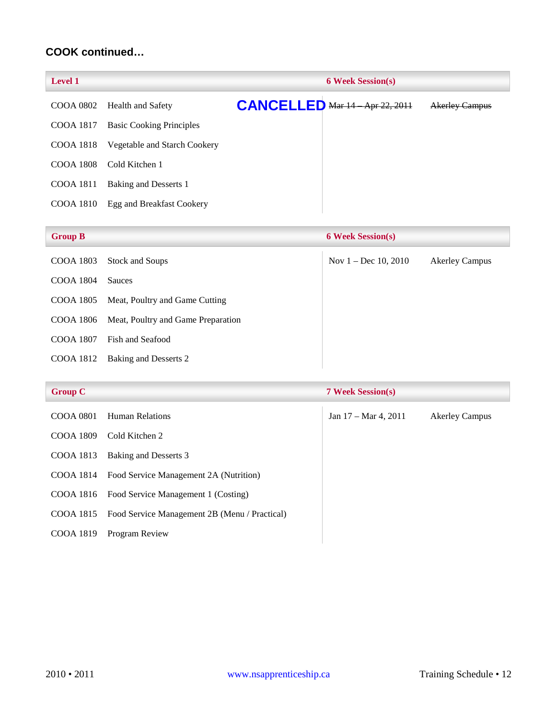## **COOK continued…**

|                                 | <b>6 Week Session(s)</b>    |  |                                      |
|---------------------------------|-----------------------------|--|--------------------------------------|
|                                 |                             |  | <b>Akerley Campus</b>                |
| <b>Basic Cooking Principles</b> |                             |  |                                      |
| Vegetable and Starch Cookery    |                             |  |                                      |
| Cold Kitchen 1                  |                             |  |                                      |
| Baking and Desserts 1           |                             |  |                                      |
| Egg and Breakfast Cookery       |                             |  |                                      |
|                                 | COOA 0802 Health and Safety |  | <b>CANCELLED Mar 14 Apr 22, 2011</b> |

| <b>Group B</b> |                                    | <b>6 Week Session(s)</b> |                       |
|----------------|------------------------------------|--------------------------|-----------------------|
| COOA 1803      | <b>Stock and Soups</b>             | Nov $1 - Dec 10, 2010$   | <b>Akerley Campus</b> |
| COOA 1804      | <b>Sauces</b>                      |                          |                       |
| COOA 1805      | Meat, Poultry and Game Cutting     |                          |                       |
| COOA 1806      | Meat, Poultry and Game Preparation |                          |                       |
| COOA 1807      | Fish and Seafood                   |                          |                       |
| COOA 1812      | Baking and Desserts 2              |                          |                       |
|                |                                    |                          |                       |

| <b>Group C</b> |  |
|----------------|--|
|----------------|--|

| <b>Group C</b>   |                                                         | <b>7 Week Session(s)</b>        |                       |
|------------------|---------------------------------------------------------|---------------------------------|-----------------------|
| <b>COOA 0801</b> | <b>Human Relations</b>                                  | Jan $17 - \text{Mar } 4$ , 2011 | <b>Akerley Campus</b> |
| <b>COOA 1809</b> | Cold Kitchen 2                                          |                                 |                       |
| COOA 1813        | Baking and Desserts 3                                   |                                 |                       |
| COOA 1814        | Food Service Management 2A (Nutrition)                  |                                 |                       |
| COOA 1816        | Food Service Management 1 (Costing)                     |                                 |                       |
|                  | COOA 1815 Food Service Management 2B (Menu / Practical) |                                 |                       |
| COOA 1819        | Program Review                                          |                                 |                       |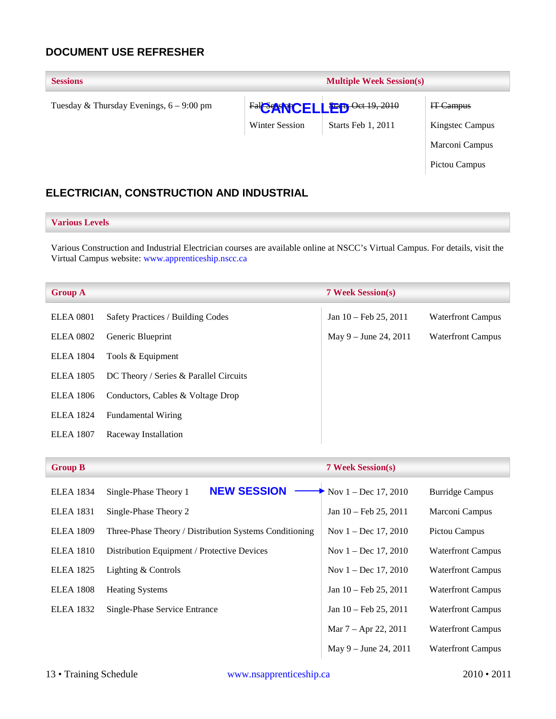## <span id="page-13-0"></span>**DOCUMENT USE REFRESHER**

| <b>Multiple Week Session(s)</b><br><b>Sessions</b> |                       |                                |                        |
|----------------------------------------------------|-----------------------|--------------------------------|------------------------|
| Tuesday & Thursday Evenings, $6 - 9:00$ pm         |                       | Fall Control LEED Oct 19, 2010 | IT-Campus              |
|                                                    | <b>Winter Session</b> | Starts Feb 1, 2011             | <b>Kingstec Campus</b> |
|                                                    |                       |                                | Marconi Campus         |
|                                                    |                       |                                | Pictou Campus          |
|                                                    |                       |                                |                        |

## <span id="page-13-1"></span>**ELECTRICIAN, CONSTRUCTION AND INDUSTRIAL**

#### **Various Levels**

Various Construction and Industrial Electrician courses are available online at NSCC's Virtual Campus. For details, visit the Virtual Campus website: [www.apprenticeship.nscc.ca](http://www.apprenticeship.nscc.ca/)

| <b>Group A</b>   |                                        | <b>7 Week Session(s)</b>        |                          |
|------------------|----------------------------------------|---------------------------------|--------------------------|
| <b>ELEA</b> 0801 | Safety Practices / Building Codes      | Jan $10 - \text{Feb } 25, 2011$ | <b>Waterfront Campus</b> |
| <b>ELEA 0802</b> | Generic Blueprint                      | May $9 -$ June 24, 2011         | <b>Waterfront Campus</b> |
| <b>ELEA</b> 1804 | Tools & Equipment                      |                                 |                          |
| <b>ELEA</b> 1805 | DC Theory / Series & Parallel Circuits |                                 |                          |
| <b>ELEA</b> 1806 | Conductors, Cables & Voltage Drop      |                                 |                          |
| <b>ELEA 1824</b> | <b>Fundamental Wiring</b>              |                                 |                          |
| <b>ELEA 1807</b> | Raceway Installation                   |                                 |                          |
|                  |                                        |                                 |                          |

| <b>Group B</b>   |                                                        | <b>7 Week Session(s)</b>        |                          |
|------------------|--------------------------------------------------------|---------------------------------|--------------------------|
| <b>ELEA 1834</b> | <b>NEW SESSION</b><br>Single-Phase Theory 1            | Nov $1 - Dec 17, 2010$          | <b>Burridge Campus</b>   |
| <b>ELEA</b> 1831 | Single-Phase Theory 2                                  | Jan $10 - \text{Feb } 25, 2011$ | Marconi Campus           |
| <b>ELEA 1809</b> | Three-Phase Theory / Distribution Systems Conditioning | Nov $1 - Dec 17, 2010$          | Pictou Campus            |
| <b>ELEA</b> 1810 | Distribution Equipment / Protective Devices            | Nov $1 - Dec 17, 2010$          | <b>Waterfront Campus</b> |
| <b>ELEA 1825</b> | Lighting & Controls                                    | Nov $1 - Dec 17, 2010$          | <b>Waterfront Campus</b> |
| <b>ELEA</b> 1808 | <b>Heating Systems</b>                                 | Jan $10 - \text{Feb } 25, 2011$ | <b>Waterfront Campus</b> |
| <b>ELEA</b> 1832 | Single-Phase Service Entrance                          | Jan $10 - \text{Feb } 25, 2011$ | <b>Waterfront Campus</b> |
|                  |                                                        | Mar $7 -$ Apr 22, 2011          | <b>Waterfront Campus</b> |
|                  |                                                        | May $9 -$ June 24, 2011         | <b>Waterfront Campus</b> |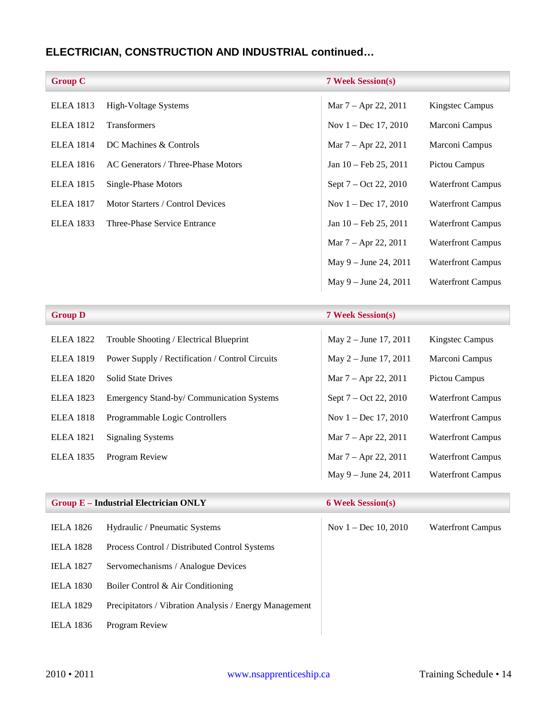## **ELECTRICIAN, CONSTRUCTION AND INDUSTRIAL continued…**

| <b>Group C</b>   |                                    | <b>7 Week Session(s)</b>        |                          |
|------------------|------------------------------------|---------------------------------|--------------------------|
| <b>ELEA 1813</b> | High-Voltage Systems               | Mar 7 – Apr 22, 2011            | Kingstec Campus          |
| <b>ELEA 1812</b> | <b>Transformers</b>                | Nov $1 - Dec 17, 2010$          | Marconi Campus           |
| <b>ELEA 1814</b> | DC Machines & Controls             | Mar 7 – Apr 22, 2011            | Marconi Campus           |
| <b>ELEA 1816</b> | AC Generators / Three-Phase Motors | Jan $10 - \text{Feb } 25, 2011$ | Pictou Campus            |
| <b>ELEA</b> 1815 | Single-Phase Motors                | Sept $7 - Oct$ 22, 2010         | <b>Waterfront Campus</b> |
| <b>ELEA 1817</b> | Motor Starters / Control Devices   | Nov $1 - Dec 17, 2010$          | <b>Waterfront Campus</b> |
| <b>ELEA</b> 1833 | Three-Phase Service Entrance       | Jan 10 – Feb 25, 2011           | <b>Waterfront Campus</b> |
|                  |                                    | Mar $7 -$ Apr 22, 2011          | <b>Waterfront Campus</b> |
|                  |                                    | May $9 -$ June 24, 2011         | <b>Waterfront Campus</b> |
|                  |                                    | May $9 -$ June 24, 2011         | <b>Waterfront Campus</b> |
|                  |                                    |                                 |                          |
| <b>Group D</b>   |                                    | <b>7 Week Session(s)</b>        |                          |

| <b>ELEA</b> 1822 | Trouble Shooting / Electrical Blueprint         | May $2 -$ June 17, 2011 | Kingstec Campus          |
|------------------|-------------------------------------------------|-------------------------|--------------------------|
| <b>ELEA 1819</b> | Power Supply / Rectification / Control Circuits | May $2 -$ June 17, 2011 | Marconi Campus           |
| <b>ELEA 1820</b> | <b>Solid State Drives</b>                       | Mar $7 -$ Apr 22, 2011  | Pictou Campus            |
| <b>ELEA</b> 1823 | Emergency Stand-by/ Communication Systems       | Sept $7 - Oct$ 22, 2010 | <b>Waterfront Campus</b> |
| <b>ELEA</b> 1818 | Programmable Logic Controllers                  | Nov $1 - Dec 17, 2010$  | <b>Waterfront Campus</b> |
| <b>ELEA</b> 1821 | <b>Signaling Systems</b>                        | Mar $7 -$ Apr 22, 2011  | <b>Waterfront Campus</b> |
| <b>ELEA</b> 1835 | Program Review                                  | Mar $7 -$ Apr 22, 2011  | <b>Waterfront Campus</b> |
|                  |                                                 | May $9 -$ June 24, 2011 | <b>Waterfront Campus</b> |

### **Group E – Industrial Electrician ONLY 6 Week Session(s)**

| <b>IELA</b> 1826 | Hydraulic / Pneumatic Systems                          |
|------------------|--------------------------------------------------------|
| <b>IELA 1828</b> | Process Control / Distributed Control Systems          |
| <b>IELA 1827</b> | Servomechanisms / Analogue Devices                     |
| <b>IELA 1830</b> | Boiler Control & Air Conditioning                      |
| <b>IELA 1829</b> | Precipitators / Vibration Analysis / Energy Management |
| IELA 1836        | Program Review                                         |

Nov 1 – Dec 10, 2010 Waterfront Campus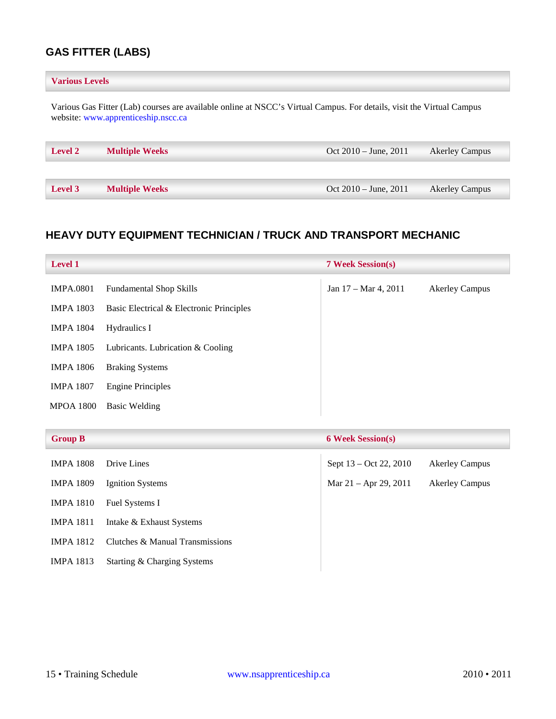## <span id="page-15-0"></span>**GAS FITTER (LABS)**

# Various Gas Fitter (Lab) courses are available online at NSCC's Virtual Campus. For details, visit the Virtual Campus website: [www.apprenticeship.nscc.ca](http://www.apprenticeship.nscc.ca/) **Various Levels Level 2 Multiple Weeks** Oct 2010 – June, 2011 Akerley Campus **Level 3 Multiple Weeks** Oct 2010 – June, 2011 Akerley Campus

## <span id="page-15-1"></span>**HEAVY DUTY EQUIPMENT TECHNICIAN / TRUCK AND TRANSPORT MECHANIC**

| <b>Level 1</b>   |                                          | <b>7 Week Session(s)</b>        |                       |
|------------------|------------------------------------------|---------------------------------|-----------------------|
| <b>IMPA.0801</b> | <b>Fundamental Shop Skills</b>           | Jan $17 - \text{Mar } 4$ , 2011 | <b>Akerley Campus</b> |
| <b>IMPA 1803</b> | Basic Electrical & Electronic Principles |                                 |                       |
| <b>IMPA 1804</b> | Hydraulics I                             |                                 |                       |
| <b>IMPA 1805</b> | Lubricants. Lubrication & Cooling        |                                 |                       |
| <b>IMPA 1806</b> | <b>Braking Systems</b>                   |                                 |                       |
| <b>IMPA 1807</b> | <b>Engine Principles</b>                 |                                 |                       |
| <b>MPOA 1800</b> | <b>Basic Welding</b>                     |                                 |                       |
|                  |                                          |                                 |                       |

| <b>Group B</b>   |                                 | <b>6 Week Session(s)</b> |                       |
|------------------|---------------------------------|--------------------------|-----------------------|
| <b>IMPA 1808</b> | Drive Lines                     | Sept 13 – Oct 22, 2010   | <b>Akerley Campus</b> |
| <b>IMPA 1809</b> | Ignition Systems                | Mar $21 -$ Apr 29, 2011  | <b>Akerley Campus</b> |
| <b>IMPA 1810</b> | Fuel Systems I                  |                          |                       |
| <b>IMPA 1811</b> | Intake & Exhaust Systems        |                          |                       |
| <b>IMPA 1812</b> | Clutches & Manual Transmissions |                          |                       |
| <b>IMPA 1813</b> | Starting & Charging Systems     |                          |                       |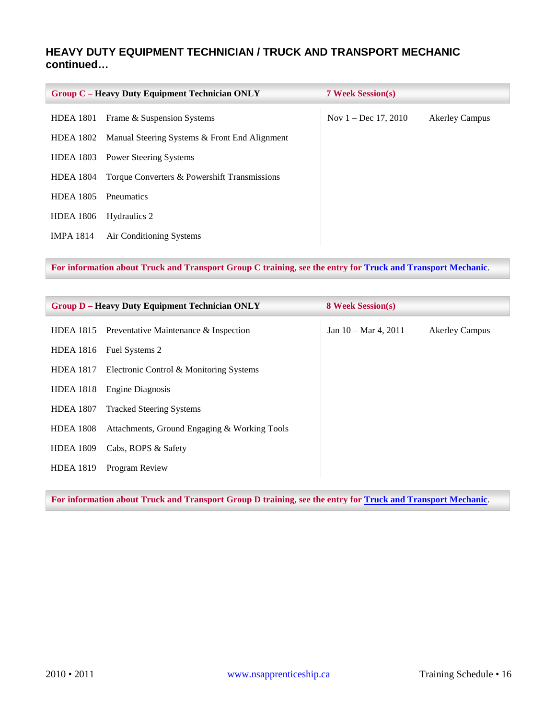## **HEAVY DUTY EQUIPMENT TECHNICIAN / TRUCK AND TRANSPORT MECHANIC continued…**

|                  | <b>Group C - Heavy Duty Equipment Technician ONLY</b> | <b>7 Week Session(s)</b> |                       |
|------------------|-------------------------------------------------------|--------------------------|-----------------------|
| <b>HDEA</b> 1801 | Frame & Suspension Systems                            | Nov $1 - Dec 17, 2010$   | <b>Akerley Campus</b> |
| HDEA 1802        | Manual Steering Systems & Front End Alignment         |                          |                       |
| <b>HDEA 1803</b> | <b>Power Steering Systems</b>                         |                          |                       |
| <b>HDEA 1804</b> | Torque Converters & Powershift Transmissions          |                          |                       |
| <b>HDEA 1805</b> | <b>P</b> neumatics                                    |                          |                       |
| <b>HDEA 1806</b> | Hydraulics 2                                          |                          |                       |
| <b>IMPA 1814</b> | Air Conditioning Systems                              |                          |                       |

**For information about Truck and Transport Group C training, see the entry for [Truck and Transport Mechanic](#page-29-0)**.

|                  | <b>Group D – Heavy Duty Equipment Technician ONLY</b> | <b>8 Week Session(s)</b>        |                       |
|------------------|-------------------------------------------------------|---------------------------------|-----------------------|
|                  | HDEA 1815 Preventative Maintenance $\&$ Inspection    | Jan $10 - \text{Mar } 4$ , 2011 | <b>Akerley Campus</b> |
| <b>HDEA 1816</b> | Fuel Systems 2                                        |                                 |                       |
|                  | HDEA 1817 Electronic Control & Monitoring Systems     |                                 |                       |
| <b>HDEA</b> 1818 | <b>Engine Diagnosis</b>                               |                                 |                       |
| <b>HDEA 1807</b> | <b>Tracked Steering Systems</b>                       |                                 |                       |
| <b>HDEA 1808</b> | Attachments, Ground Engaging & Working Tools          |                                 |                       |
| <b>HDEA 1809</b> | Cabs, ROPS & Safety                                   |                                 |                       |
| <b>HDEA 1819</b> | Program Review                                        |                                 |                       |

**For information about Truck and Transport Group D training, see the entry for [Truck and Transport Mechanic](#page-29-0)**.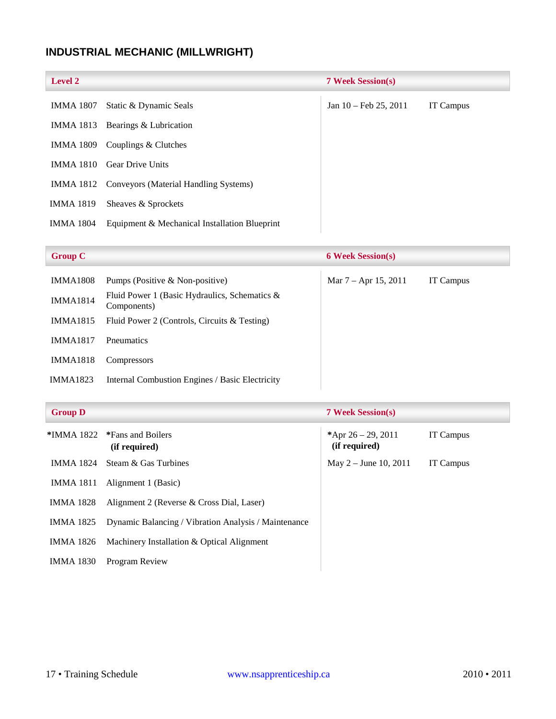## <span id="page-17-0"></span>**INDUSTRIAL MECHANIC (MILLWRIGHT)**

| <b>Level 2</b>   |                                                 | <b>7 Week Session(s)</b>        |           |
|------------------|-------------------------------------------------|---------------------------------|-----------|
| IMMA 1807        | Static & Dynamic Seals                          | Jan $10 - \text{Feb } 25, 2011$ | IT Campus |
| IMMA 1813        | Bearings & Lubrication                          |                                 |           |
| IMMA 1809        | Couplings & Clutches                            |                                 |           |
| <b>IMMA 1810</b> | <b>Gear Drive Units</b>                         |                                 |           |
|                  | IMMA 1812 Conveyors (Material Handling Systems) |                                 |           |
| <b>IMMA 1819</b> | Sheaves & Sprockets                             |                                 |           |
| <b>IMMA 1804</b> | Equipment & Mechanical Installation Blueprint   |                                 |           |

| <b>Group C</b> |  |
|----------------|--|

| <b>Group C</b>  |                                                                 | <b>6 Week Session(s)</b> |                  |
|-----------------|-----------------------------------------------------------------|--------------------------|------------------|
| <b>IMMA1808</b> | Pumps (Positive & Non-positive)                                 | Mar $7 -$ Apr 15, 2011   | <b>IT Campus</b> |
| <b>IMMA1814</b> | Fluid Power 1 (Basic Hydraulics, Schematics $\&$<br>Components) |                          |                  |
| <b>IMMA1815</b> | Fluid Power 2 (Controls, Circuits & Testing)                    |                          |                  |
| <b>IMMA1817</b> | <b>P</b> neumatics                                              |                          |                  |
| <b>IMMA1818</b> | Compressors                                                     |                          |                  |
| <b>IMMA1823</b> | Internal Combustion Engines / Basic Electricity                 |                          |                  |

| <b>Group D</b> |  |
|----------------|--|
|                |  |

| <b>Group D</b>   |                                                                                                                                   | <b>7 Week Session(s)</b>               |           |  |
|------------------|-----------------------------------------------------------------------------------------------------------------------------------|----------------------------------------|-----------|--|
|                  | *IMMA 1822 *Fans and Boilers<br>(if required)                                                                                     | *Apr $26 - 29$ , 2011<br>(if required) | IT Campus |  |
|                  | IMMA 1824 Steam & Gas Turbines                                                                                                    | May $2 -$ June 10, 2011                | IT Campus |  |
| <b>IMMA 1811</b> | Alignment 1 (Basic)                                                                                                               |                                        |           |  |
| IMMA 1828        | Alignment 2 (Reverse & Cross Dial, Laser)                                                                                         |                                        |           |  |
| IMMA 1825        | Dynamic Balancing / Vibration Analysis / Maintenance                                                                              |                                        |           |  |
| IMMA 1826        | Machinery Installation & Optical Alignment                                                                                        |                                        |           |  |
|                  | $\mathbf{u}$ $\mathbf{u}$ $\mathbf{u}$ $\mathbf{u}$ $\mathbf{u}$ $\mathbf{v}$ $\mathbf{v}$ $\mathbf{v}$ $\mathbf{v}$ $\mathbf{v}$ |                                        |           |  |

IMMA 1830 Program Review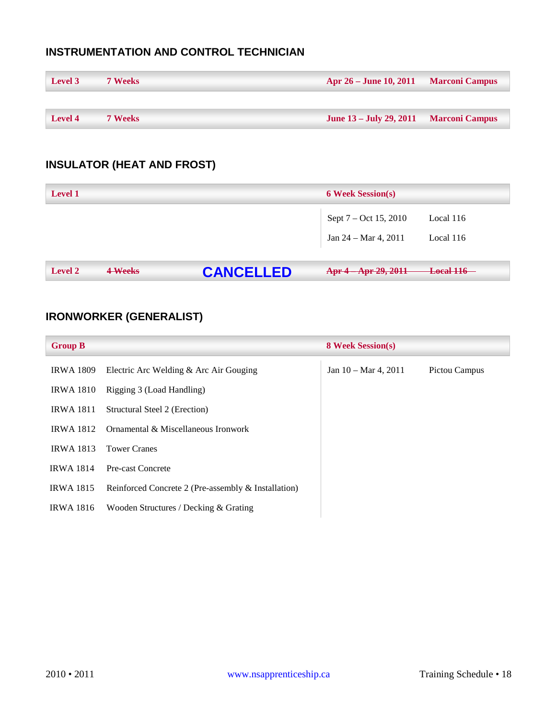## <span id="page-18-0"></span>**INSTRUMENTATION AND CONTROL TECHNICIAN**

| Level 3 | <b>7 Weeks</b> | Apr 26 – June 10, 2011 Marconi Campus  |  |
|---------|----------------|----------------------------------------|--|
|         |                |                                        |  |
| Level 4 | <b>7 Weeks</b> | June 13 – July 29, 2011 Marconi Campus |  |

## <span id="page-18-1"></span>**INSULATOR (HEAT AND FROST)**

| <b>Level 1</b>            |                  | <b>6 Week Session(s)</b>                                 |                        |
|---------------------------|------------------|----------------------------------------------------------|------------------------|
|                           |                  | Sept 7 – Oct 15, 2010<br>Jan $24 - \text{Mar } 4$ , 2011 | Local 116<br>Local 116 |
| 4-Weeks<br><b>Level 2</b> | <b>CANCELLED</b> | Apr 4 Apr 29, 2011                                       | <b>Local 116</b>       |

## <span id="page-18-2"></span>**IRONWORKER (GENERALIST)**

| <b>Group B</b>   |                                                     | <b>8 Week Session(s)</b>        |               |
|------------------|-----------------------------------------------------|---------------------------------|---------------|
| <b>IRWA 1809</b> | Electric Arc Welding & Arc Air Gouging              | Jan $10 - \text{Mar } 4$ , 2011 | Pictou Campus |
| <b>IRWA 1810</b> | Rigging 3 (Load Handling)                           |                                 |               |
| <b>IRWA 1811</b> | Structural Steel 2 (Erection)                       |                                 |               |
| <b>IRWA 1812</b> | Ornamental & Miscellaneous Ironwork                 |                                 |               |
| <b>IRWA 1813</b> | <b>Tower Cranes</b>                                 |                                 |               |
| <b>IRWA 1814</b> | Pre-cast Concrete                                   |                                 |               |
| <b>IRWA 1815</b> | Reinforced Concrete 2 (Pre-assembly & Installation) |                                 |               |
| <b>IRWA 1816</b> | Wooden Structures / Decking & Grating               |                                 |               |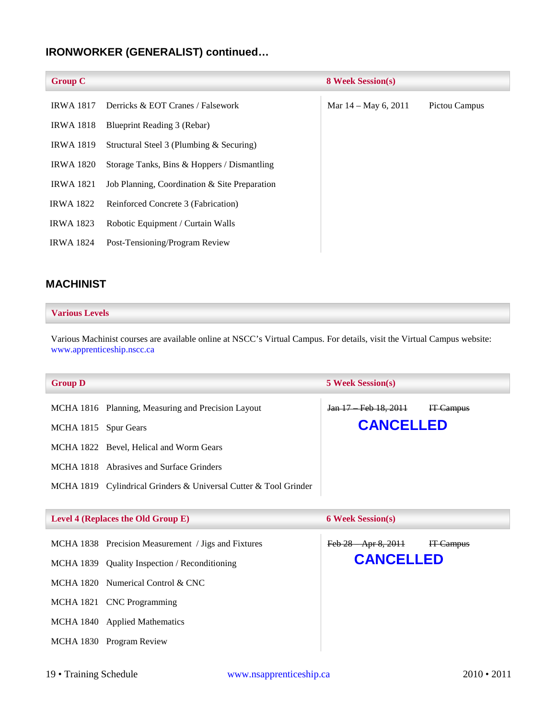## **IRONWORKER (GENERALIST) continued…**

| <b>Group C</b>   |                                               | <b>8 Week Session(s)</b> |               |
|------------------|-----------------------------------------------|--------------------------|---------------|
| <b>IRWA 1817</b> | Derricks & EOT Cranes / Falsework             | Mar $14 -$ May 6, 2011   | Pictou Campus |
| <b>IRWA 1818</b> | Blueprint Reading 3 (Rebar)                   |                          |               |
| <b>IRWA 1819</b> | Structural Steel 3 (Plumbing & Securing)      |                          |               |
| <b>IRWA 1820</b> | Storage Tanks, Bins & Hoppers / Dismantling   |                          |               |
| <b>IRWA 1821</b> | Job Planning, Coordination & Site Preparation |                          |               |
| <b>IRWA 1822</b> | Reinforced Concrete 3 (Fabrication)           |                          |               |
| <b>IRWA 1823</b> | Robotic Equipment / Curtain Walls             |                          |               |
| <b>IRWA 1824</b> | Post-Tensioning/Program Review                |                          |               |
|                  |                                               |                          |               |

## <span id="page-19-0"></span>**MACHINIST**

#### **Various Levels**

Various Machinist courses are available online at NSCC's Virtual Campus. For details, visit the Virtual Campus website: [www.apprenticeship.nscc.ca](http://www.apprenticeship.nscc.ca/)

| <b>Group D</b>       |                                                                  | <b>5 Week Session(s)</b> |           |
|----------------------|------------------------------------------------------------------|--------------------------|-----------|
|                      | MCHA 1816 Planning, Measuring and Precision Layout               | Jan 17 Feb 18, 2011      | IT Campus |
| MCHA 1815 Spur Gears |                                                                  | <b>CANCELLED</b>         |           |
|                      | MCHA 1822 Bevel, Helical and Worm Gears                          |                          |           |
|                      | MCHA 1818 Abrasives and Surface Grinders                         |                          |           |
|                      | MCHA 1819 Cylindrical Grinders & Universal Cutter & Tool Grinder |                          |           |
|                      |                                                                  |                          |           |
|                      | Level 4 (Replaces the Old Group E)                               | <b>6 Week Session(s)</b> |           |
|                      | MCHA 1838 Precision Measurement / Jigs and Fixtures              | Feb 28 Apr 8, 2011       | IT Campus |
|                      | MCHA 1839 Quality Inspection / Reconditioning                    | <b>CANCELLED</b>         |           |
|                      | MCHA 1820 Numerical Control & CNC                                |                          |           |
|                      | MCHA 1821 CNC Programming                                        |                          |           |
|                      | MCHA 1840 Applied Mathematics                                    |                          |           |
|                      | MCHA 1830 Program Review                                         |                          |           |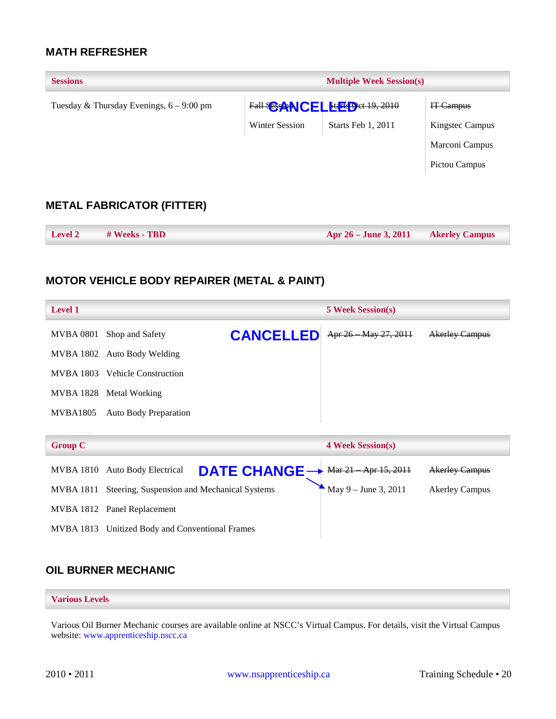## <span id="page-20-0"></span>**MATH REFRESHER**

| <b>Sessions</b>                            |                | <b>Multiple Week Session(s)</b> |                        |
|--------------------------------------------|----------------|---------------------------------|------------------------|
| Tuesday & Thursday Evenings, $6 - 9:00$ pm |                | Fall SOSANCELLEE Det 19, 2010   | IT-Campus              |
|                                            | Winter Session | Starts Feb 1, 2011              | <b>Kingstec Campus</b> |
|                                            |                |                                 | Marconi Campus         |
|                                            |                |                                 | Pictou Campus          |
| <b>METAL FABRICATOR (FITTER)</b>           |                |                                 |                        |
| # Weeks - TBD<br><b>Level 2</b>            |                | Apr 26 – June 3, 2011           | <b>Akerley Campus</b>  |

## <span id="page-20-2"></span><span id="page-20-1"></span>**MOTOR VEHICLE BODY REPAIRER (METAL & PAINT)**

| <b>Level 1</b>  |                                                                   | <b>5 Week Session(s)</b> |                       |
|-----------------|-------------------------------------------------------------------|--------------------------|-----------------------|
| MVBA 0801       | <b>CANCELLED</b><br>Shop and Safety                               | Apr 26 May 27, 2011      | <b>Akerley Campus</b> |
|                 | MVBA 1802 Auto Body Welding                                       |                          |                       |
|                 | MVBA 1803 Vehicle Construction                                    |                          |                       |
|                 | MVBA 1828 Metal Working                                           |                          |                       |
| <b>MVBA1805</b> | <b>Auto Body Preparation</b>                                      |                          |                       |
|                 |                                                                   |                          |                       |
|                 |                                                                   |                          |                       |
| <b>Group C</b>  |                                                                   | <b>4 Week Session(s)</b> |                       |
| MVBA 1810       | DATE CHANGE -> Mar 21 Apr 15, 2011<br><b>Auto Body Electrical</b> |                          | <b>Akerley Campus</b> |
| MVBA 1811       | Steering, Suspension and Mechanical Systems                       | May $9 -$ June 3, 2011   | <b>Akerley Campus</b> |
|                 | MVBA 1812 Panel Replacement                                       |                          |                       |
|                 | MVBA 1813 Unitized Body and Conventional Frames                   |                          |                       |

## <span id="page-20-3"></span>**OIL BURNER MECHANIC**

#### **Various Levels**

Various Oil Burner Mechanic courses are available online at NSCC's Virtual Campus. For details, visit the Virtual Campus website: [www.apprenticeship.nscc.ca](http://www.apprenticeship.nscc.ca/)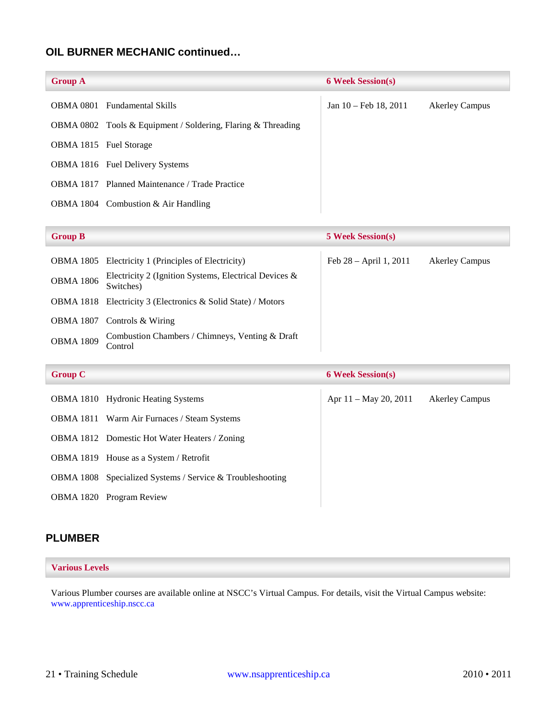## **OIL BURNER MECHANIC continued…**

| <b>Group A</b>                |                                                              | <b>6 Week Session(s)</b> |                       |
|-------------------------------|--------------------------------------------------------------|--------------------------|-----------------------|
|                               | <b>OBMA 0801</b> Fundamental Skills                          | Jan 10 – Feb 18, 2011    | <b>Akerley Campus</b> |
|                               | OBMA 0802 Tools & Equipment / Soldering, Flaring & Threading |                          |                       |
| <b>OBMA 1815</b> Fuel Storage |                                                              |                          |                       |
|                               | <b>OBMA 1816</b> Fuel Delivery Systems                       |                          |                       |
|                               | <b>OBMA 1817</b> Planned Maintenance / Trade Practice        |                          |                       |
|                               | OBMA 1804 Combustion & Air Handling                          |                          |                       |

| <b>Group B</b>   |                                                                     | <b>5 Week Session(s)</b> |                       |
|------------------|---------------------------------------------------------------------|--------------------------|-----------------------|
|                  | <b>OBMA 1805</b> Electricity 1 (Principles of Electricity)          | Feb $28 - April 1, 2011$ | <b>Akerley Campus</b> |
| <b>OBMA 1806</b> | Electricity 2 (Ignition Systems, Electrical Devices &<br>Switches)  |                          |                       |
|                  | <b>OBMA 1818</b> Electricity 3 (Electronics & Solid State) / Motors |                          |                       |
| <b>OBMA 1807</b> | Controls & Wiring                                                   |                          |                       |
| <b>OBMA 1809</b> | Combustion Chambers / Chimneys, Venting & Draft<br>Control          |                          |                       |

| <b>Group C</b> |                                                           | <b>6 Week Session(s)</b> |                       |
|----------------|-----------------------------------------------------------|--------------------------|-----------------------|
|                | OBMA 1810 Hydronic Heating Systems                        | Apr $11 -$ May 20, 2011  | <b>Akerley Campus</b> |
|                | <b>OBMA 1811</b> Warm Air Furnaces / Steam Systems        |                          |                       |
|                | <b>OBMA 1812</b> Domestic Hot Water Heaters / Zoning      |                          |                       |
|                | OBMA 1819 House as a System / Retrofit                    |                          |                       |
|                | OBMA 1808 Specialized Systems / Service & Troubleshooting |                          |                       |
|                | <b>OBMA 1820</b> Program Review                           |                          |                       |

#### <span id="page-21-0"></span>**PLUMBER**

#### **Various Levels**

Various Plumber courses are available online at NSCC's Virtual Campus. For details, visit the Virtual Campus website: [www.apprenticeship.nscc.ca](http://www.apprenticeship.nscc.ca/)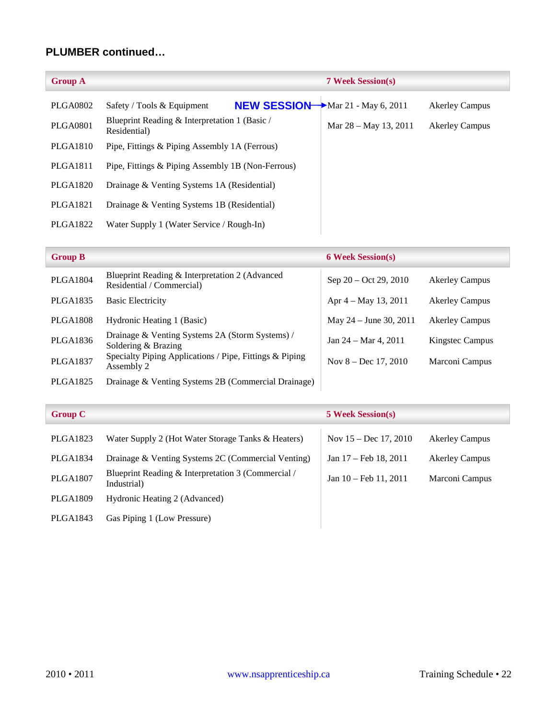## **PLUMBER continued…**

| <b>Group A</b>  | <b>7 Week Session(s)</b>                                         |                         |                       |
|-----------------|------------------------------------------------------------------|-------------------------|-----------------------|
| PLGA0802        | NEW SESSION Mar 21 - May 6, 2011<br>Safety / Tools $&$ Equipment |                         | <b>Akerley Campus</b> |
| <b>PLGA0801</b> | Blueprint Reading & Interpretation 1 (Basic /<br>Residential)    | Mar $28 -$ May 13, 2011 | <b>Akerley Campus</b> |
| PLGA1810        | Pipe, Fittings & Piping Assembly 1A (Ferrous)                    |                         |                       |
| <b>PLGA1811</b> | Pipe, Fittings & Piping Assembly 1B (Non-Ferrous)                |                         |                       |
| <b>PLGA1820</b> | Drainage & Venting Systems 1A (Residential)                      |                         |                       |
| PLGA1821        | Drainage & Venting Systems 1B (Residential)                      |                         |                       |
| <b>PLGA1822</b> | Water Supply 1 (Water Service / Rough-In)                        |                         |                       |

## PLGA1804 Blueprint Reading & Interpretation 2 (Advanced Residential / Commercial) Sep 20 – Oct 29, 2010 Akerley Campus<br>Residential / Commercial) PLGA1835 Basic Electricity Apr 4 – May 13, 2011 Akerley Campus PLGA1808 Hydronic Heating 1 (Basic) May 24 – June 30, 2011 Akerley Campus PLGA1836 Drainage & Venting Systems 2A (Storm Systems) / Jan 24 – Mar 4, 2011 Kingstec Campus<br>Soldering & Brazing PLGA1837 Specialty Piping Applications / Pipe, Fittings & Piping Nov 8 – Dec 17, 2010 Marconi Campus<br>Assembly 2 PLGA1825 Drainage & Venting Systems 2B (Commercial Drainage) **Group B 6 Week Session(s)**

| <b>Group C</b>  |                                                                   | <b>5 Week Session(s)</b>        |                       |
|-----------------|-------------------------------------------------------------------|---------------------------------|-----------------------|
| PLGA1823        | Water Supply 2 (Hot Water Storage Tanks & Heaters)                | Nov $15 - Dec 17, 2010$         | <b>Akerley Campus</b> |
| PLGA1834        | Drainage & Venting Systems 2C (Commercial Venting)                | Jan 17 – Feb 18, 2011           | <b>Akerley Campus</b> |
| <b>PLGA1807</b> | Blueprint Reading & Interpretation 3 (Commercial /<br>Industrial) | Jan $10 - \text{Feb } 11, 2011$ | Marconi Campus        |
| PLGA1809        | Hydronic Heating 2 (Advanced)                                     |                                 |                       |
| PLGA1843        | Gas Piping 1 (Low Pressure)                                       |                                 |                       |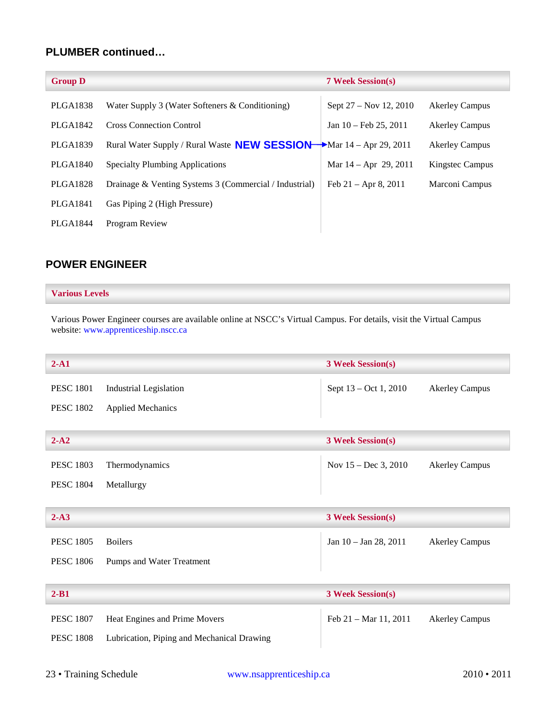## **PLUMBER continued…**

| <b>Akerley Campus</b> |
|-----------------------|
| <b>Akerley Campus</b> |
| <b>Akerley Campus</b> |
| Kingstec Campus       |
| Marconi Campus        |
|                       |
|                       |
|                       |

### <span id="page-23-0"></span>**POWER ENGINEER**

#### **Various Levels**

Various Power Engineer courses are available online at NSCC's Virtual Campus. For details, visit the Virtual Campus website: [www.apprenticeship.nscc.ca](http://www.apprenticeship.nscc.ca/)

| $2-A1$           |                                            | <b>3 Week Session(s)</b>        |                       |
|------------------|--------------------------------------------|---------------------------------|-----------------------|
| <b>PESC 1801</b> | <b>Industrial Legislation</b>              | Sept 13 – Oct 1, 2010           | <b>Akerley Campus</b> |
| <b>PESC 1802</b> | <b>Applied Mechanics</b>                   |                                 |                       |
|                  |                                            |                                 |                       |
| $2 - A2$         |                                            | <b>3 Week Session(s)</b>        |                       |
| <b>PESC 1803</b> | Thermodynamics                             | Nov $15 - Dec 3, 2010$          | <b>Akerley Campus</b> |
| <b>PESC 1804</b> | Metallurgy                                 |                                 |                       |
|                  |                                            |                                 |                       |
| $2-A3$           |                                            | <b>3 Week Session(s)</b>        |                       |
| <b>PESC 1805</b> | <b>Boilers</b>                             | Jan 10 - Jan 28, 2011           | <b>Akerley Campus</b> |
| <b>PESC 1806</b> | Pumps and Water Treatment                  |                                 |                       |
|                  |                                            |                                 |                       |
| $2 - B1$         |                                            | <b>3 Week Session(s)</b>        |                       |
| <b>PESC 1807</b> | Heat Engines and Prime Movers              | Feb $21 - \text{Mar } 11, 2011$ | <b>Akerley Campus</b> |
| <b>PESC 1808</b> | Lubrication, Piping and Mechanical Drawing |                                 |                       |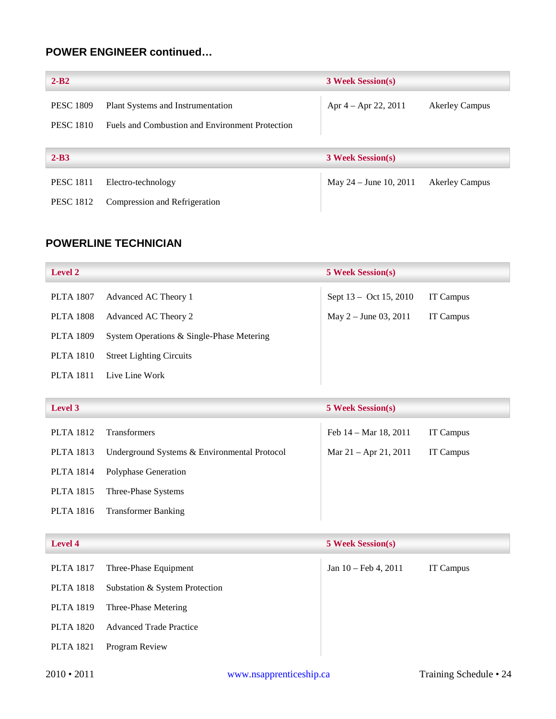## **POWER ENGINEER continued…**

| $2 - B2$         |                                                 | <b>3 Week Session(s)</b> |                       |
|------------------|-------------------------------------------------|--------------------------|-----------------------|
| <b>PESC 1809</b> | Plant Systems and Instrumentation               | Apr $4 -$ Apr 22, 2011   | <b>Akerley Campus</b> |
| <b>PESC 1810</b> | Fuels and Combustion and Environment Protection |                          |                       |
|                  |                                                 |                          |                       |
| $2 - B3$         |                                                 | <b>3 Week Session(s)</b> |                       |
| <b>PESC 1811</b> | Electro-technology                              | May $24 -$ June 10, 2011 | <b>Akerley Campus</b> |
| <b>PESC 1812</b> | Compression and Refrigeration                   |                          |                       |

## <span id="page-24-0"></span>**POWERLINE TECHNICIAN**

| <b>Level 2</b>   |                                           | <b>5 Week Session(s)</b> |           |
|------------------|-------------------------------------------|--------------------------|-----------|
| <b>PLTA 1807</b> | Advanced AC Theory 1                      | Sept 13 - Oct 15, 2010   | IT Campus |
| <b>PLTA 1808</b> | Advanced AC Theory 2                      | May $2 -$ June 03, 2011  | IT Campus |
| <b>PLTA 1809</b> | System Operations & Single-Phase Metering |                          |           |
| PLTA 1810        | <b>Street Lighting Circuits</b>           |                          |           |
| <b>PLTA 1811</b> | Live Line Work                            |                          |           |

| <b>Level 3</b>   |                                              | <b>5 Week Session(s)</b>        |           |
|------------------|----------------------------------------------|---------------------------------|-----------|
| <b>PLTA 1812</b> | <b>Transformers</b>                          | Feb $14 - \text{Mar } 18, 2011$ | IT Campus |
| PLTA 1813        | Underground Systems & Environmental Protocol | Mar $21 -$ Apr $21, 2011$       | IT Campus |
| <b>PLTA 1814</b> | Polyphase Generation                         |                                 |           |
| <b>PLTA 1815</b> | Three-Phase Systems                          |                                 |           |
| <b>PLTA 1816</b> | <b>Transformer Banking</b>                   |                                 |           |

| <b>Level 4</b> |                                | <b>5 Week Session(s)</b>       |           |
|----------------|--------------------------------|--------------------------------|-----------|
| PLTA 1817      | Three-Phase Equipment          | Jan $10 - \text{Feb } 4, 2011$ | IT Campus |
| PLTA 1818      | Substation & System Protection |                                |           |
|                | PLTA 1819 Three-Phase Metering |                                |           |
| PLTA 1820      | <b>Advanced Trade Practice</b> |                                |           |
| PLTA 1821      | Program Review                 |                                |           |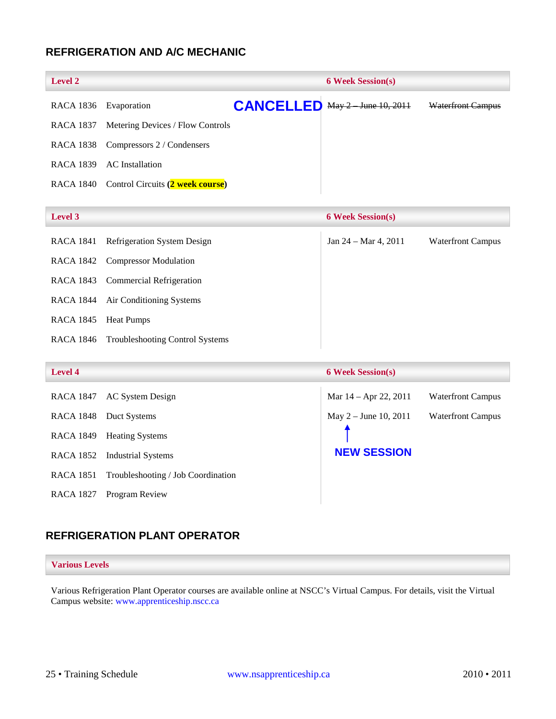## <span id="page-25-0"></span>**REFRIGERATION AND A/C MECHANIC**

| <b>Level 2</b>         |                                                                                                             | <b>6 Week Session(s)</b>         |  |                                      |
|------------------------|-------------------------------------------------------------------------------------------------------------|----------------------------------|--|--------------------------------------|
|                        |                                                                                                             |                                  |  | <b>Waterfront Campus</b>             |
|                        |                                                                                                             |                                  |  |                                      |
|                        |                                                                                                             |                                  |  |                                      |
| <b>AC</b> Installation |                                                                                                             |                                  |  |                                      |
|                        |                                                                                                             |                                  |  |                                      |
|                        | RACA 1836 Evaporation<br>RACA 1838 Compressors 2 / Condensers<br>RACA 1840 Control Circuits (2 week course) | Metering Devices / Flow Controls |  | <b>CANCELLED</b> May 2 June 10, 2011 |

#### **Level 3 6 Week Session(s)**

| RACA 1841 | <b>Refrigeration System Design</b>        | Jan 24 – Mar 4, 2011 | <b>Waterfront Campus</b> |
|-----------|-------------------------------------------|----------------------|--------------------------|
|           | RACA 1842 Compressor Modulation           |                      |                          |
|           | RACA 1843 Commercial Refrigeration        |                      |                          |
|           | RACA 1844 Air Conditioning Systems        |                      |                          |
| RACA 1845 | <b>Heat Pumps</b>                         |                      |                          |
|           | RACA 1846 Troubleshooting Control Systems |                      |                          |
|           |                                           |                      |                          |

## **Level 4 6 Week Session(s)**

| RACA 1847 | AC System Design                   | Mar $14 -$ Apr 22, 2011 | <b>Waterfront Campus</b> |
|-----------|------------------------------------|-------------------------|--------------------------|
| RACA 1848 | Duct Systems                       | May $2 -$ June 10, 2011 | <b>Waterfront Campus</b> |
| RACA 1849 | <b>Heating Systems</b>             |                         |                          |
|           | RACA 1852 Industrial Systems       | <b>NEW SESSION</b>      |                          |
| RACA 1851 | Troubleshooting / Job Coordination |                         |                          |
| RACA 1827 | Program Review                     |                         |                          |

## <span id="page-25-1"></span>**REFRIGERATION PLANT OPERATOR**

#### **Various Levels**

Various Refrigeration Plant Operator courses are available online at NSCC's Virtual Campus. For details, visit the Virtual Campus website: [www.apprenticeship.nscc.ca](http://www.apprenticeship.nscc.ca/)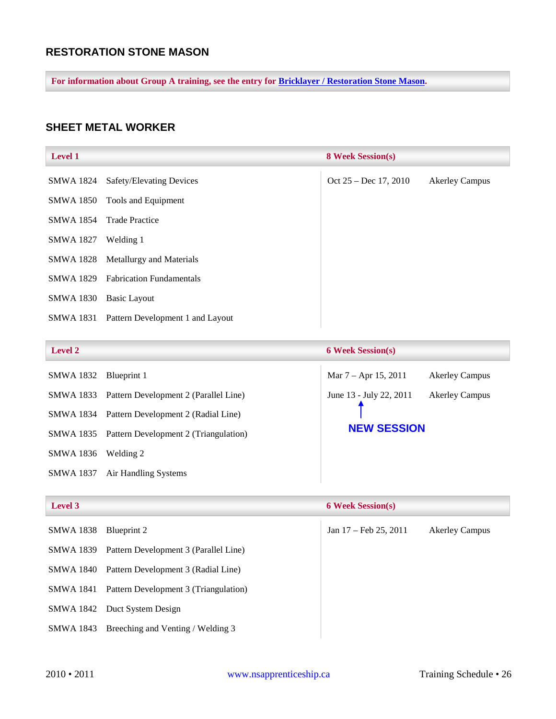## <span id="page-26-0"></span>**RESTORATION STONE MASON**

**For information about Group A training, see the entry for [Bricklayer / Restoration Stone Mason.](#page-10-0)**

## <span id="page-26-1"></span>**SHEET METAL WORKER**

| <b>Level 1</b>   |                                    | <b>8 Week Session(s)</b> |                       |
|------------------|------------------------------------|--------------------------|-----------------------|
| SMWA 1824        | <b>Safety/Elevating Devices</b>    | Oct $25 - Dec 17, 2010$  | <b>Akerley Campus</b> |
| SMWA 1850        | Tools and Equipment                |                          |                       |
| <b>SMWA 1854</b> | <b>Trade Practice</b>              |                          |                       |
| <b>SMWA 1827</b> | Welding 1                          |                          |                       |
|                  | SMWA 1828 Metallurgy and Materials |                          |                       |
| SMWA 1829        | <b>Fabrication Fundamentals</b>    |                          |                       |
| <b>SMWA 1830</b> | Basic Layout                       |                          |                       |
| SMWA 1831        | Pattern Development 1 and Layout   |                          |                       |

#### **Level 2 6 Week Session(s)**

| SMWA 1832        | Blueprint 1                                     | Mar 7 – Apr 15, 2011    | <b>Akerley Campus</b> |
|------------------|-------------------------------------------------|-------------------------|-----------------------|
|                  | SMWA 1833 Pattern Development 2 (Parallel Line) | June 13 - July 22, 2011 | <b>Akerley Campus</b> |
|                  | SMWA 1834 Pattern Development 2 (Radial Line)   |                         |                       |
|                  | SMWA 1835 Pattern Development 2 (Triangulation) | <b>NEW SESSION</b>      |                       |
| SMWA 1836        | Welding 2                                       |                         |                       |
| <b>SMWA 1837</b> | Air Handling Systems                            |                         |                       |

| Level 3          |                                                 | <b>6 Week Session(s)</b>        |                       |
|------------------|-------------------------------------------------|---------------------------------|-----------------------|
| <b>SMWA 1838</b> | Blueprint 2                                     | Jan $17 - \text{Feb } 25, 2011$ | <b>Akerley Campus</b> |
|                  | SMWA 1839 Pattern Development 3 (Parallel Line) |                                 |                       |
|                  | SMWA 1840 Pattern Development 3 (Radial Line)   |                                 |                       |
|                  | SMWA 1841 Pattern Development 3 (Triangulation) |                                 |                       |
|                  | SMWA 1842 Duct System Design                    |                                 |                       |
| SMWA 1843        | Breeching and Venting / Welding 3               |                                 |                       |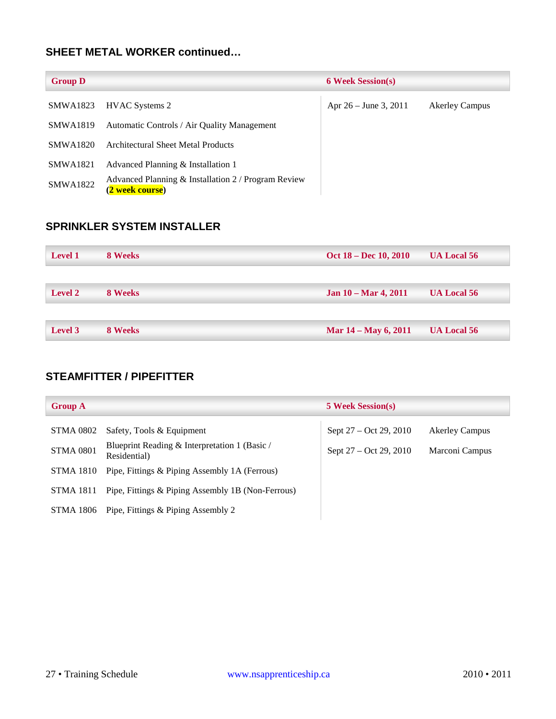## **SHEET METAL WORKER continued…**

| <b>Group D</b>  |                                                                        | <b>6 Week Session(s)</b> |                       |
|-----------------|------------------------------------------------------------------------|--------------------------|-----------------------|
| SMWA1823        | <b>HVAC Systems 2</b>                                                  | Apr $26 -$ June 3, 2011  | <b>Akerley Campus</b> |
| <b>SMWA1819</b> | Automatic Controls / Air Quality Management                            |                          |                       |
| <b>SMWA1820</b> | Architectural Sheet Metal Products                                     |                          |                       |
| <b>SMWA1821</b> | Advanced Planning & Installation 1                                     |                          |                       |
| <b>SMWA1822</b> | Advanced Planning & Installation 2 / Program Review<br>(2 week course) |                          |                       |

## <span id="page-27-0"></span>**SPRINKLER SYSTEM INSTALLER**

| <b>Level 1</b> | 8 Weeks | Oct 18 – Dec 10, 2010          | <b>UA Local 56</b> |
|----------------|---------|--------------------------------|--------------------|
|                |         |                                |                    |
| <b>Level 2</b> | 8 Weeks | Jan $10 - \text{Mar } 4, 2011$ | <b>UA Local 56</b> |
|                |         |                                |                    |
| Level 3        | 8 Weeks | Mar 14 – May 6, 2011           | <b>UA Local 56</b> |

## <span id="page-27-1"></span>**STEAMFITTER / PIPEFITTER**

| <b>Group A</b>   |                                                               | <b>5 Week Session(s)</b> |                       |
|------------------|---------------------------------------------------------------|--------------------------|-----------------------|
| STMA 0802        | Safety, Tools & Equipment                                     | Sept 27 – Oct 29, 2010   | <b>Akerley Campus</b> |
| <b>STMA 0801</b> | Blueprint Reading & Interpretation 1 (Basic /<br>Residential) | Sept $27 - Oct 29, 2010$ | Marconi Campus        |
| STMA 1810        | Pipe, Fittings & Piping Assembly 1A (Ferrous)                 |                          |                       |
| STMA 1811        | Pipe, Fittings & Piping Assembly 1B (Non-Ferrous)             |                          |                       |
| STMA 1806        | Pipe, Fittings & Piping Assembly 2                            |                          |                       |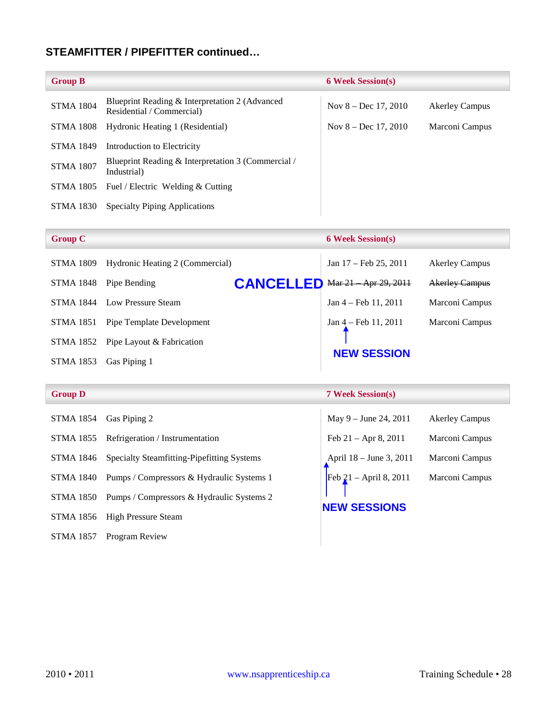## **STEAMFITTER / PIPEFITTER continued…**

| <b>Group B</b>   |                                                                             | <b>6 Week Session(s)</b> |                       |
|------------------|-----------------------------------------------------------------------------|--------------------------|-----------------------|
| <b>STMA 1804</b> | Blueprint Reading & Interpretation 2 (Advanced<br>Residential / Commercial) | Nov $8 - Dec 17, 2010$   | <b>Akerley Campus</b> |
| <b>STMA 1808</b> | Hydronic Heating 1 (Residential)                                            | Nov $8 - Dec 17, 2010$   | Marconi Campus        |
| <b>STMA 1849</b> | Introduction to Electricity                                                 |                          |                       |
| <b>STMA 1807</b> | Blueprint Reading & Interpretation 3 (Commercial /<br>Industrial)           |                          |                       |
| <b>STMA 1805</b> | Fuel / Electric Welding & Cutting                                           |                          |                       |
| STMA 1830        | <b>Specialty Piping Applications</b>                                        |                          |                       |

| <b>Group C</b>   |                                 |                  | <b>6 Week Session(s)</b>        |                       |
|------------------|---------------------------------|------------------|---------------------------------|-----------------------|
| <b>STMA 1809</b> | Hydronic Heating 2 (Commercial) |                  | Jan $17 - \text{Feb } 25, 2011$ | <b>Akerley Campus</b> |
| <b>STMA 1848</b> | Pipe Bending                    | <b>CANCELLED</b> | Mar 21 Apr 29, 2011             | <b>Akerley Campus</b> |
| <b>STMA 1844</b> | Low Pressure Steam              |                  | $Jan 4 - Feb 11, 2011$          | Marconi Campus        |
| <b>STMA 1851</b> | Pipe Template Development       |                  | $Jan 4 - Feb 11, 2011$          | Marconi Campus        |
| STMA 1852        | Pipe Layout & Fabrication       |                  |                                 |                       |
| <b>STMA 1853</b> | Gas Piping 1                    |                  | <b>NEW SESSION</b>              |                       |

#### **Group D 7 Week Session(s)**

| <b>STMA 1854</b> | Gas Piping 2                                        | May $9 -$ June 24, 2011 | <b>Akerley Campus</b> |
|------------------|-----------------------------------------------------|-------------------------|-----------------------|
| STMA 1855        | Refrigeration / Instrumentation                     | Feb $21 -$ Apr 8, 2011  | Marconi Campus        |
| STMA 1846        | <b>Specialty Steamfitting-Pipefitting Systems</b>   | April 18 – June 3, 2011 | Marconi Campus        |
|                  | STMA 1840 Pumps / Compressors & Hydraulic Systems 1 | Feb 21 – April 8, 2011  | Marconi Campus        |
|                  | STMA 1850 Pumps / Compressors & Hydraulic Systems 2 |                         |                       |
| STMA 1856        | <b>High Pressure Steam</b>                          | <b>NEW SESSIONS</b>     |                       |
| <b>STMA 1857</b> | <b>Program Review</b>                               |                         |                       |

| May $9 -$ June 24, 2011   | <b>Akerley Campus</b> |
|---------------------------|-----------------------|
| Feb 21 - Apr 8, 2011      | Marconi Campus        |
| April $18 -$ June 3, 2011 | Marconi Campus        |
| Feb 21 – April 8, 2011    | Marconi Campus        |

## **EW SESSIONS**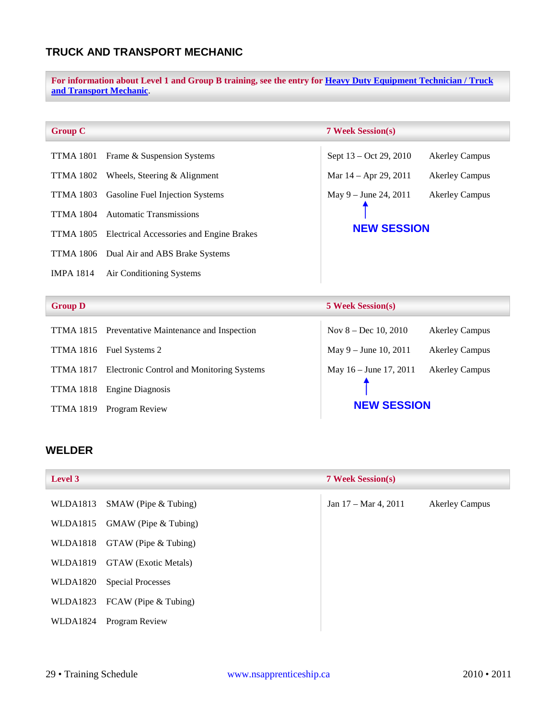## <span id="page-29-0"></span>**TRUCK AND TRANSPORT MECHANIC**

**For information about Level 1 and Group B training, see the entry for [Heavy Duty Equipment Technician / Truck](#page-15-1)  [and Transport Mechanic](#page-15-1)**.

Sept 13 – Oct 29, 2010 Akerley Campus

Mar  $14 -$  Apr 29, 2011 Akerley Campus

May 9 – June 24, 2011 Akerley Campus

**NEW SESSION**

#### **Group C 7 Week Session(s)**

| TTMA 1801 Frame & Suspension Systems               |
|----------------------------------------------------|
| TTMA 1802 Wheels, Steering $&$ Alignment           |
| <b>TTMA 1803</b> Gasoline Fuel Injection Systems   |
| TTMA 1804 Automatic Transmissions                  |
| TTMA 1805 Electrical Accessories and Engine Brakes |
| TTMA 1806 Dual Air and ABS Brake Systems           |

IMPA 1814 Air Conditioning Systems

#### **Group D 5 Week Session(s)**

| TTMA 1815 Preventative Maintenance and Inspection   | Nov $8 - Dec 10, 2010$   | <b>Akerley Campus</b> |
|-----------------------------------------------------|--------------------------|-----------------------|
| TTMA 1816 Fuel Systems 2                            | May $9 -$ June 10, 2011  | <b>Akerley Campus</b> |
| TTMA 1817 Electronic Control and Monitoring Systems | May $16 -$ June 17, 2011 | <b>Akerley Campus</b> |
| TTMA 1818 Engine Diagnosis                          |                          |                       |
| TTMA 1819 Program Review                            | <b>NEW SESSION</b>       |                       |

#### <span id="page-29-1"></span>**WELDER**

| Level 3  |                               | <b>7 Week Session(s)</b> |                       |
|----------|-------------------------------|--------------------------|-----------------------|
| WLDA1813 | $SMAW$ (Pipe $& Tubing$ )     | Jan 17 - Mar 4, 2011     | <b>Akerley Campus</b> |
|          | WLDA1815 GMAW (Pipe & Tubing) |                          |                       |
|          | WLDA1818 GTAW (Pipe & Tubing) |                          |                       |
| WLDA1819 | <b>GTAW</b> (Exotic Metals)   |                          |                       |
| WLDA1820 | <b>Special Processes</b>      |                          |                       |
|          | WLDA1823 FCAW (Pipe & Tubing) |                          |                       |
| WLDA1824 | Program Review                |                          |                       |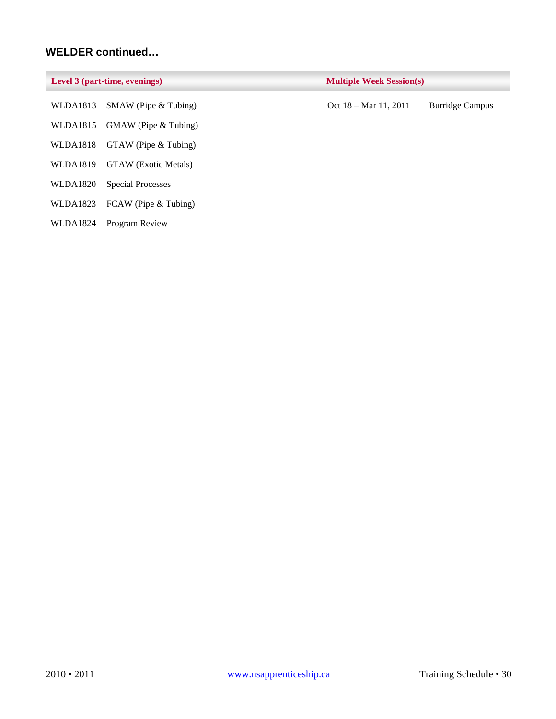## **WELDER continued…**

| Level 3 (part-time, evenings) |                                 | <b>Multiple Week Session(s)</b> |                        |
|-------------------------------|---------------------------------|---------------------------------|------------------------|
| WLDA1813                      | $SMAW$ (Pipe $& Tubing$ )       | Oct $18 - \text{Mar } 11, 2011$ | <b>Burridge Campus</b> |
|                               | WLDA1815 GMAW (Pipe $&$ Tubing) |                                 |                        |
| WLDA1818                      | $GTAW$ (Pipe $& Tubing$ )       |                                 |                        |
| <b>WLDA1819</b>               | <b>GTAW</b> (Exotic Metals)     |                                 |                        |
| <b>WLDA1820</b>               | <b>Special Processes</b>        |                                 |                        |
| WLDA1823                      | FCAW (Pipe & Tubing)            |                                 |                        |
| WLDA1824                      | Program Review                  |                                 |                        |
|                               |                                 |                                 |                        |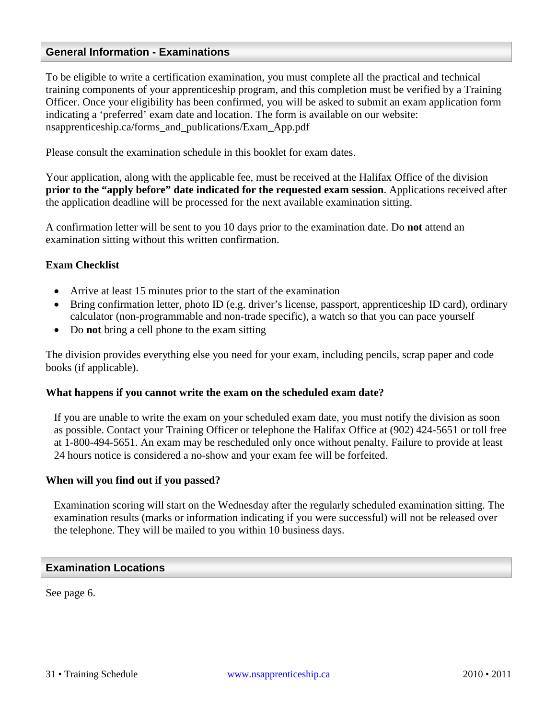## <span id="page-31-0"></span>**General Information - Examinations**

To be eligible to write a certification examination, you must complete all the practical and technical training components of your apprenticeship program, and this completion must be verified by a Training Officer. Once your eligibility has been confirmed, you will be asked to submit an exam application form indicating a 'preferred' exam date and location. The form is available on our website: nsapprenticeship.ca/forms\_and\_publications/Exam\_App.pdf

Please consult the examination schedule in this booklet for exam dates.

Your application, along with the applicable fee, must be received at the Halifax Office of the division **prior to the "apply before" date indicated for the requested exam session**. Applications received after the application deadline will be processed for the next available examination sitting.

A confirmation letter will be sent to you 10 days prior to the examination date. Do **not** attend an examination sitting without this written confirmation.

#### **Exam Checklist**

- Arrive at least 15 minutes prior to the start of the examination
- Bring confirmation letter, photo ID (e.g. driver's license, passport, apprenticeship ID card), ordinary calculator (non-programmable and non-trade specific), a watch so that you can pace yourself
- Do **not** bring a cell phone to the exam sitting

The division provides everything else you need for your exam, including pencils, scrap paper and code books (if applicable).

#### **What happens if you cannot write the exam on the scheduled exam date?**

If you are unable to write the exam on your scheduled exam date, you must notify the division as soon as possible. Contact your Training Officer or telephone the Halifax Office at (902) 424-5651 or toll free at 1-800-494-5651. An exam may be rescheduled only once without penalty. Failure to provide at least 24 hours notice is considered a no-show and your exam fee will be forfeited.

#### **When will you find out if you passed?**

Examination scoring will start on the Wednesday after the regularly scheduled examination sitting. The examination results (marks or information indicating if you were successful) will not be released over the telephone. They will be mailed to you within 10 business days.

#### <span id="page-31-1"></span>**Examination Locations**

See page 6.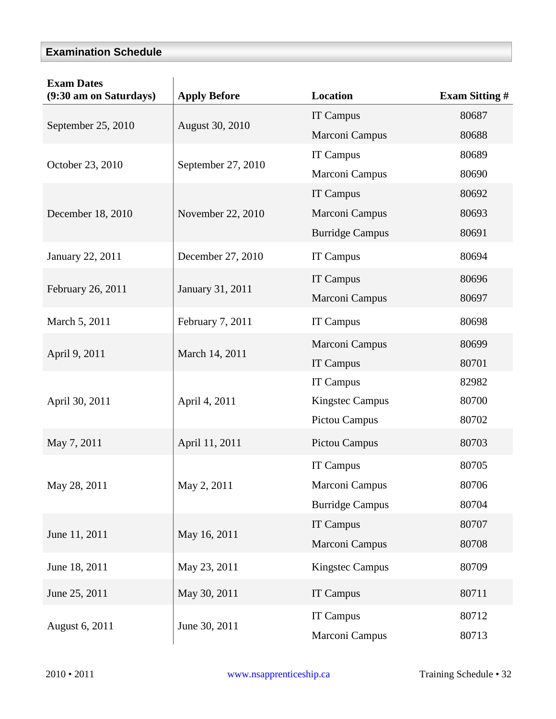## <span id="page-32-0"></span>**Examination Schedule**

| <b>Exam Dates</b><br>(9:30 am on Saturdays) | <b>Apply Before</b> | Location               | <b>Exam Sitting #</b> |
|---------------------------------------------|---------------------|------------------------|-----------------------|
| September 25, 2010                          | August 30, 2010     | IT Campus              | 80687                 |
|                                             |                     | Marconi Campus         | 80688                 |
| October 23, 2010                            | September 27, 2010  | IT Campus              | 80689                 |
|                                             |                     | Marconi Campus         | 80690                 |
|                                             |                     | IT Campus              | 80692                 |
| December 18, 2010                           | November 22, 2010   | Marconi Campus         | 80693                 |
|                                             |                     | <b>Burridge Campus</b> | 80691                 |
| January 22, 2011                            | December 27, 2010   | <b>IT Campus</b>       | 80694                 |
|                                             | January 31, 2011    | <b>IT Campus</b>       | 80696                 |
| February 26, 2011                           |                     | Marconi Campus         | 80697                 |
| March 5, 2011                               | February 7, 2011    | <b>IT Campus</b>       | 80698                 |
|                                             |                     | Marconi Campus         | 80699                 |
| April 9, 2011                               | March 14, 2011      | IT Campus              | 80701                 |
|                                             |                     | <b>IT Campus</b>       | 82982                 |
| April 30, 2011                              | April 4, 2011       | <b>Kingstec Campus</b> | 80700                 |
|                                             |                     | <b>Pictou Campus</b>   | 80702                 |
| May 7, 2011                                 | April 11, 2011      | <b>Pictou Campus</b>   | 80703                 |
|                                             |                     | IT Campus              | 80705                 |
| May 28, 2011                                | May 2, 2011         | Marconi Campus         | 80706                 |
|                                             |                     | <b>Burridge Campus</b> | 80704                 |
| June 11, 2011                               | May 16, 2011        | <b>IT Campus</b>       | 80707                 |
|                                             |                     | Marconi Campus         | 80708                 |
| June 18, 2011                               | May 23, 2011        | <b>Kingstec Campus</b> | 80709                 |
| June 25, 2011                               | May 30, 2011        | <b>IT Campus</b>       | 80711                 |
|                                             |                     | IT Campus              | 80712                 |
| August 6, 2011                              | June 30, 2011       | Marconi Campus         | 80713                 |